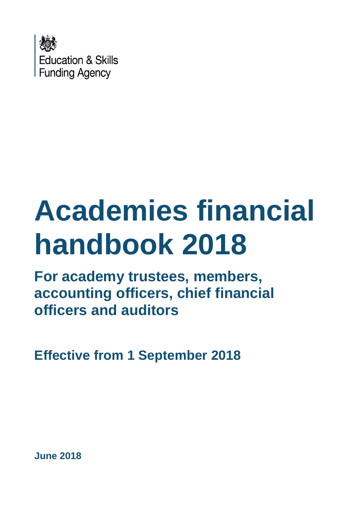

# **Academies financial handbook 2018**

**For academy trustees, members, accounting officers, chief financial officers and auditors**

**Effective from 1 September 2018**

**June 2018**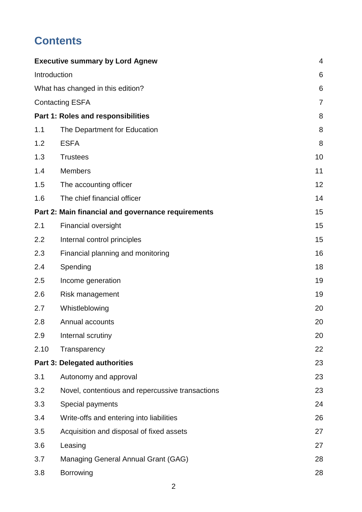# **Contents**

|                                   | <b>Executive summary by Lord Agnew</b>             | $\overline{4}$ |
|-----------------------------------|----------------------------------------------------|----------------|
| Introduction                      |                                                    | 6              |
| What has changed in this edition? |                                                    | 6              |
|                                   | <b>Contacting ESFA</b>                             | 7              |
|                                   | Part 1: Roles and responsibilities                 | 8              |
| 1.1                               | The Department for Education                       | 8              |
| 1.2                               | <b>ESFA</b>                                        | 8              |
| 1.3                               | <b>Trustees</b>                                    | 10             |
| 1.4                               | <b>Members</b>                                     | 11             |
| 1.5                               | The accounting officer                             | 12             |
| 1.6                               | The chief financial officer                        | 14             |
|                                   | Part 2: Main financial and governance requirements | 15             |
| 2.1                               | <b>Financial oversight</b>                         | 15             |
| 2.2                               | Internal control principles                        | 15             |
| 2.3                               | Financial planning and monitoring                  | 16             |
| 2.4                               | Spending                                           | 18             |
| 2.5                               | Income generation                                  | 19             |
| 2.6                               | Risk management                                    | 19             |
| 2.7                               | Whistleblowing                                     | 20             |
| 2.8                               | Annual accounts                                    | 20             |
| 2.9                               | Internal scrutiny                                  | 20             |
| 2.10                              | Transparency                                       | 22             |
|                                   | <b>Part 3: Delegated authorities</b>               | 23             |
| 3.1                               | Autonomy and approval                              | 23             |
| 3.2                               | Novel, contentious and repercussive transactions   | 23             |
| 3.3                               | Special payments                                   | 24             |
| 3.4                               | Write-offs and entering into liabilities           | 26             |
| 3.5                               | Acquisition and disposal of fixed assets           | 27             |
| 3.6                               | Leasing                                            | 27             |
| 3.7                               | Managing General Annual Grant (GAG)                | 28             |
| 3.8                               | Borrowing                                          | 28             |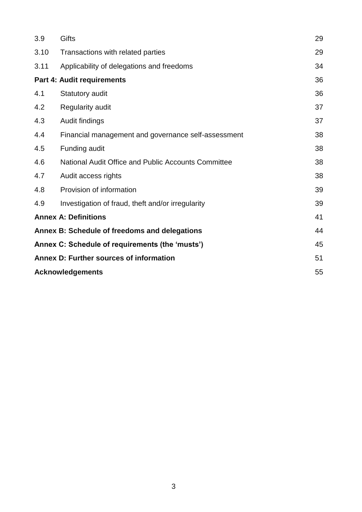| 3.9                                             | Gifts                                               | 29 |
|-------------------------------------------------|-----------------------------------------------------|----|
| 3.10                                            | Transactions with related parties                   | 29 |
| 3.11                                            | Applicability of delegations and freedoms           | 34 |
| Part 4: Audit requirements                      | 36                                                  |    |
| 4.1                                             | Statutory audit                                     | 36 |
| 4.2                                             | Regularity audit                                    | 37 |
| 4.3                                             | Audit findings                                      | 37 |
| 4.4                                             | Financial management and governance self-assessment | 38 |
| 4.5                                             | Funding audit                                       | 38 |
| 4.6                                             | National Audit Office and Public Accounts Committee | 38 |
| 4.7                                             | Audit access rights                                 | 38 |
| 4.8                                             | Provision of information                            | 39 |
| 4.9                                             | Investigation of fraud, theft and/or irregularity   | 39 |
|                                                 | <b>Annex A: Definitions</b>                         | 41 |
|                                                 | Annex B: Schedule of freedoms and delegations       | 44 |
| Annex C: Schedule of requirements (the 'musts') |                                                     | 45 |
| Annex D: Further sources of information         |                                                     | 51 |
| <b>Acknowledgements</b>                         |                                                     | 55 |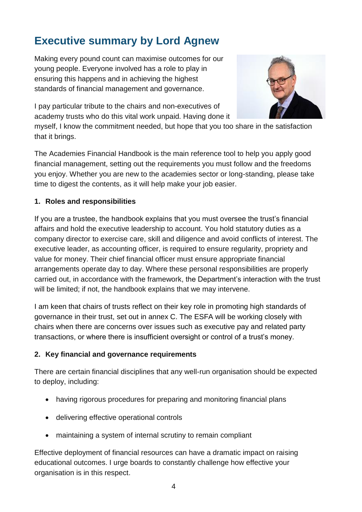# <span id="page-3-0"></span>**Executive summary by Lord Agnew**

Making every pound count can maximise outcomes for our young people. Everyone involved has a role to play in ensuring this happens and in achieving the highest standards of financial management and governance.

I pay particular tribute to the chairs and non-executives of academy trusts who do this vital work unpaid. Having done it



myself, I know the commitment needed, but hope that you too share in the satisfaction that it brings.

The Academies Financial Handbook is the main reference tool to help you apply good financial management, setting out the requirements you must follow and the freedoms you enjoy. Whether you are new to the academies sector or long-standing, please take time to digest the contents, as it will help make your job easier.

#### **1. Roles and responsibilities**

If you are a trustee, the handbook explains that you must oversee the trust's financial affairs and hold the executive leadership to account. You hold statutory duties as a company director to exercise care, skill and diligence and avoid conflicts of interest. The executive leader, as accounting officer, is required to ensure regularity, propriety and value for money. Their chief financial officer must ensure appropriate financial arrangements operate day to day. Where these personal responsibilities are properly carried out, in accordance with the framework, the Department's interaction with the trust will be limited; if not, the handbook explains that we may intervene.

I am keen that chairs of trusts reflect on their key role in promoting high standards of governance in their trust, set out in annex C. The ESFA will be working closely with chairs when there are concerns over issues such as executive pay and related party transactions, or where there is insufficient oversight or control of a trust's money.

#### **2. Key financial and governance requirements**

There are certain financial disciplines that any well-run organisation should be expected to deploy, including:

- having rigorous procedures for preparing and monitoring financial plans
- delivering effective operational controls
- maintaining a system of internal scrutiny to remain compliant

Effective deployment of financial resources can have a dramatic impact on raising educational outcomes. I urge boards to constantly challenge how effective your organisation is in this respect.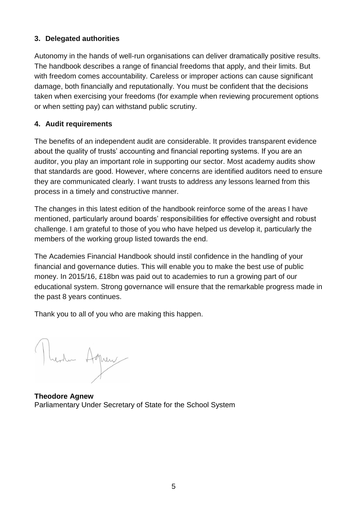#### **3. Delegated authorities**

Autonomy in the hands of well-run organisations can deliver dramatically positive results. The handbook describes a range of financial freedoms that apply, and their limits. But with freedom comes accountability. Careless or improper actions can cause significant damage, both financially and reputationally. You must be confident that the decisions taken when exercising your freedoms (for example when reviewing procurement options or when setting pay) can withstand public scrutiny.

#### **4. Audit requirements**

The benefits of an independent audit are considerable. It provides transparent evidence about the quality of trusts' accounting and financial reporting systems. If you are an auditor, you play an important role in supporting our sector. Most academy audits show that standards are good. However, where concerns are identified auditors need to ensure they are communicated clearly. I want trusts to address any lessons learned from this process in a timely and constructive manner.

The changes in this latest edition of the handbook reinforce some of the areas I have mentioned, particularly around boards' responsibilities for effective oversight and robust challenge. I am grateful to those of you who have helped us develop it, particularly the members of the working group listed towards the end.

The Academies Financial Handbook should instil confidence in the handling of your financial and governance duties. This will enable you to make the best use of public money. In 2015/16, £18bn was paid out to academies to run a growing part of our educational system. Strong governance will ensure that the remarkable progress made in the past 8 years continues.

Thank you to all of you who are making this happen.

Render Agnew

**Theodore Agnew** Parliamentary Under Secretary of State for the School System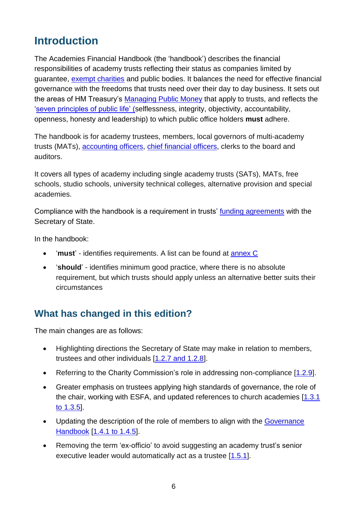# <span id="page-5-0"></span>**Introduction**

The Academies Financial Handbook (the 'handbook') describes the financial responsibilities of academy trusts reflecting their status as companies limited by guarantee, [exempt charities](https://www.gov.uk/government/publications/regulation-of-schools-and-academies-with-exempt-charity-status) and public bodies. It balances the need for effective financial governance with the freedoms that trusts need over their day to day business. It sets out the areas of HM Treasury's [Managing Public Money](https://www.gov.uk/government/publications/managing-public-money) that apply to trusts, and reflects the ['seven principles of public life'](https://www.gov.uk/government/publications/the-7-principles-of-public-life) (selflessness, integrity, objectivity, accountability, openness, honesty and leadership) to which public office holders **must** adhere.

<span id="page-5-2"></span>The handbook is for academy trustees, members, local governors of multi-academy trusts (MATs), [accounting officers,](#page-40-1) [chief financial officers,](#page-40-2) clerks to the board and auditors.

It covers all types of academy including single academy trusts (SATs), MATs, free schools, studio schools, university technical colleges, alternative provision and special academies.

Compliance with the handbook is a requirement in trusts' [funding agreements](#page-41-0) with the Secretary of State.

In the handbook:

- '**must**' identifies requirements. A list can be found at [annex C](#page-44-0)
- '**should**' identifies minimum good practice, where there is no absolute requirement, but which trusts should apply unless an alternative better suits their circumstances

### <span id="page-5-1"></span>**What has changed in this edition?**

The main changes are as follows:

- Highlighting directions the Secretary of State may make in relation to members, trustees and other individuals [\[1.2.7 and 1.2.8\]](#page-8-0).
- Referring to the Charity Commission's role in addressing non-compliance [\[1.2.9\]](#page-8-1).
- Greater emphasis on trustees applying high standards of governance, the role of the chair, working with ESFA, and updated references to church academies [\[1.3.1](#page-9-1)  [to 1.3.5\]](#page-9-1).
- Updating the description of the role of members to align with the Governance [Handbook](https://www.gov.uk/government/publications/governance-handbook) [\[1.4.1 to 1.4.5\]](#page-10-1).
- Removing the term 'ex-officio' to avoid suggesting an academy trust's senior executive leader would automatically act as a trustee [\[1.5.1\]](#page-11-1).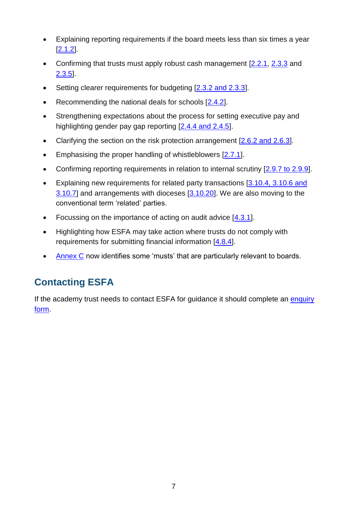- Explaining reporting requirements if the board meets less than six times a year [\[2.1.2\]](#page-14-3).
- Confirming that trusts must apply robust cash management [\[2.2.1,](#page-14-4) [2.3.3](#page-15-1) and [2.3.5\]](#page-16-0).
- Setting clearer requirements for budgeting [\[2.3.2 and 2.3.3\]](#page-15-2).
- Recommending the national deals for schools [\[2.4.2\]](#page-17-1).
- Strengthening expectations about the process for setting executive pay and highlighting gender pay gap reporting [\[2.4.4 and 2.4.5\]](#page-17-2).
- Clarifying the section on the risk protection arrangement [\[2.6.2 and 2.6.3\]](#page-18-2).
- **Emphasising the proper handling of whistleblowers [\[2.7.1\]](#page-19-3).**
- Confirming reporting requirements in relation to internal scrutiny [\[2.9.7 to 2.9.9\]](#page-20-0).
- Explaining new requirements for related party transactions [\[3.10.4, 3.10.6 and](#page-29-0)  [3.10.7\]](#page-29-0) and arrangements with dioceses [\[3.10.20\]](#page-32-0). We are also moving to the conventional term 'related' parties.
- Focussing on the importance of acting on audit advice  $[4.3.1]$ .
- Highlighting how ESFA may take action where trusts do not comply with requirements for submitting financial information [\[4.8.4\]](#page-38-2).
- [Annex C](#page-44-0) now identifies some 'musts' that are particularly relevant to boards.

# <span id="page-6-0"></span>**Contacting ESFA**

If the academy trust needs to contact ESFA for guidance it should complete an enquiry [form.](http://www.education.gov.uk/kc-enquiry-form)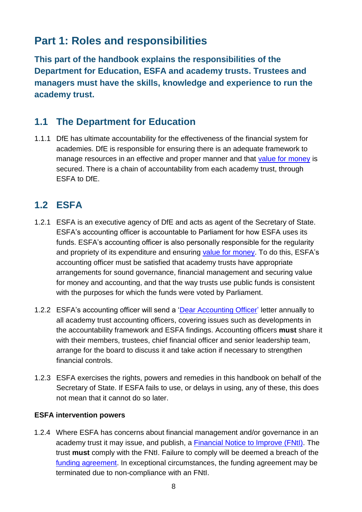# <span id="page-7-0"></span>**Part 1: Roles and responsibilities**

<span id="page-7-3"></span>**This part of the handbook explains the responsibilities of the Department for Education, ESFA and academy trusts. Trustees and managers must have the skills, knowledge and experience to run the academy trust.**

### <span id="page-7-1"></span>**1.1 The Department for Education**

1.1.1 DfE has ultimate accountability for the effectiveness of the financial system for academies. DfE is responsible for ensuring there is an adequate framework to manage resources in an effective and proper manner and that [value for money](#page-42-0) is secured. There is a chain of accountability from each academy trust, through ESFA to DfE.

# <span id="page-7-2"></span>**1.2 ESFA**

- 1.2.1 ESFA is an executive agency of DfE and acts as agent of the Secretary of State. ESFA's accounting officer is accountable to Parliament for how ESFA uses its funds. ESFA's accounting officer is also personally responsible for the [regularity](#page-42-1) and propriety of its expenditure and ensuring [value for money.](#page-42-0) To do this, ESFA's accounting officer must be satisfied that academy trusts have appropriate arrangements for sound governance, financial management and securing value for money and accounting, and that the way trusts use public funds is consistent with the purposes for which the funds were voted by Parliament.
- <span id="page-7-4"></span>1.2.2 ESFA's accounting officer will send a ['Dear Accounting Officer'](https://www.gov.uk/government/collections/academy-trust-accounting-officer-letters-from-efa) letter annually to all academy trust accounting officers, covering issues such as developments in the accountability framework and ESFA findings. Accounting officers **must** share it with their members, trustees, chief financial officer and senior leadership team, arrange for the board to discuss it and take action if necessary to strengthen financial controls.
- 1.2.3 ESFA exercises the rights, powers and remedies in this handbook on behalf of the Secretary of State. If ESFA fails to use, or delays in using, any of these, this does not mean that it cannot do so later.

#### **ESFA intervention powers**

<span id="page-7-5"></span>1.2.4 Where ESFA has concerns about financial management and/or governance in an academy trust it may issue, and publish, a [Financial Notice to Improve \(FNtI\).](https://www.gov.uk/government/collections/academies-financial-notices-to-improve) The trust **must** comply with the FNtI. Failure to comply will be deemed a breach of the [funding agreement.](#page-41-0) In exceptional circumstances, the funding agreement may be terminated due to non-compliance with an FNtI.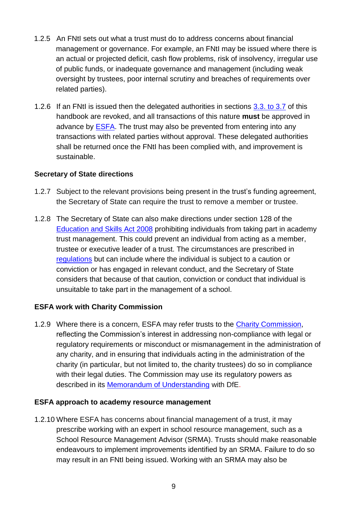- 1.2.5 An FNtI sets out what a trust must do to address concerns about financial management or governance. For example, an FNtI may be issued where there is an actual or projected deficit, cash flow problems, risk of insolvency, irregular use of public funds, or inadequate governance and management (including weak oversight by trustees, poor internal scrutiny and breaches of requirements over related parties).
- <span id="page-8-2"></span>1.2.6 If an FNtI is issued then the delegated authorities in sections [3.3. to 3.7](#page-23-1) of this handbook are revoked, and all transactions of this nature **must** be approved in advance by [ESFA.](http://www.education.gov.uk/kc-enquiry-form) The trust may also be prevented from entering into any transactions with related parties without approval. These delegated authorities shall be returned once the FNtI has been complied with, and improvement is sustainable.

#### <span id="page-8-0"></span>**Secretary of State directions**

- 1.2.7 Subject to the relevant provisions being present in the trust's funding agreement, the Secretary of State can require the trust to remove a member or trustee.
- 1.2.8 The Secretary of State can also make directions under section 128 of the [Education and Skills Act 2008](https://www.legislation.gov.uk/ukpga/2008/25/contents) prohibiting individuals from taking part in academy trust management. This could prevent an individual from acting as a member, trustee or executive leader of a trust. The circumstances are prescribed in [regulations](http://www.legislation.gov.uk/uksi/2014/1977/pdfs/uksi_20141977_en.pdf) but can include where the individual is subject to a caution or conviction or has engaged in relevant conduct, and the Secretary of State considers that because of that caution, conviction or conduct that individual is unsuitable to take part in the management of a school.

#### **ESFA work with Charity Commission**

<span id="page-8-1"></span>1.2.9 Where there is a concern, ESFA may refer trusts to the [Charity Commission,](https://www.gov.uk/government/organisations/charity-commission) reflecting the Commission's interest in addressing non-compliance with legal or regulatory requirements or misconduct or mismanagement in the administration of any charity, and in ensuring that individuals acting in the administration of the charity (in particular, but not limited to, the charity trustees) do so in compliance with their legal duties. The Commission may use its regulatory powers as described in its [Memorandum of Understanding](https://www.gov.uk/government/publications/memorandum-of-understanding-charity-commission-and-the-department-for-education) with DfE.

#### **ESFA approach to academy resource management**

1.2.10 Where ESFA has concerns about financial management of a trust, it may prescribe working with an expert in school resource management, such as a School Resource Management Advisor (SRMA). Trusts should make reasonable endeavours to implement improvements identified by an SRMA. Failure to do so may result in an FNtI being issued. Working with an SRMA may also be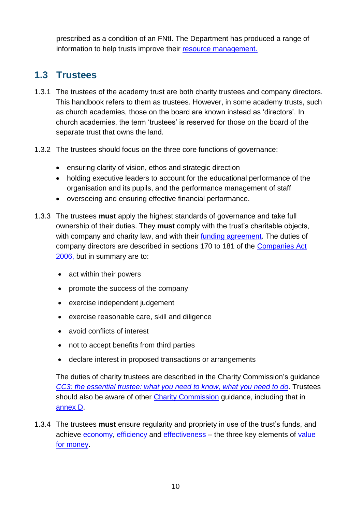prescribed as a condition of an FNtI. The Department has produced a range of information to help trusts improve their [resource management.](https://www.gov.uk/government/collections/schools-financial-health-and-efficiency)

### <span id="page-9-0"></span>**1.3 Trustees**

- <span id="page-9-1"></span>1.3.1 The trustees of the academy trust are both charity trustees and company directors. This handbook refers to them as trustees. However, in some academy trusts, such as church academies, those on the board are known instead as 'directors'. In church academies, the term 'trustees' is reserved for those on the board of the separate trust that owns the land.
- 1.3.2 The trustees should focus on the three core functions of governance:
	- ensuring clarity of vision, ethos and strategic direction
	- holding executive leaders to account for the educational performance of the organisation and its pupils, and the performance management of staff
	- overseeing and ensuring effective financial performance.
- <span id="page-9-2"></span>1.3.3 The trustees **must** apply the highest standards of governance and take full ownership of their duties. They **must** comply with the trust's charitable objects, with company and charity law, and with their [funding agreement.](#page-41-0) The duties of company directors are described in sections 170 to 181 of the [Companies Act](http://www.legislation.gov.uk/ukpga/2006/46/part/10/chapter/2)  [2006,](http://www.legislation.gov.uk/ukpga/2006/46/part/10/chapter/2) but in summary are to:
	- act within their powers
	- promote the success of the company
	- exercise independent judgement
	- exercise reasonable care, skill and diligence
	- avoid conflicts of interest
	- not to accept benefits from third parties
	- declare interest in proposed transactions or arrangements

The duties of charity trustees are described in the Charity Commission's guidance *[CC3: the essential trustee: what you need to know,](https://www.gov.uk/government/publications/the-essential-trustee-what-you-need-to-know-cc3) what you need to do*. Trustees should also be aware of other [Charity Commission](https://www.gov.uk/government/organisations/charity-commission) guidance, including that in [annex D.](#page-50-1)

<span id="page-9-3"></span>1.3.4 The trustees **must** ensure regularity and propriety in use of the trust's funds, and achieve [economy,](#page-41-1) [efficiency](#page-41-2) and [effectiveness](#page-41-3) – the three key elements of value [for money.](#page-42-0)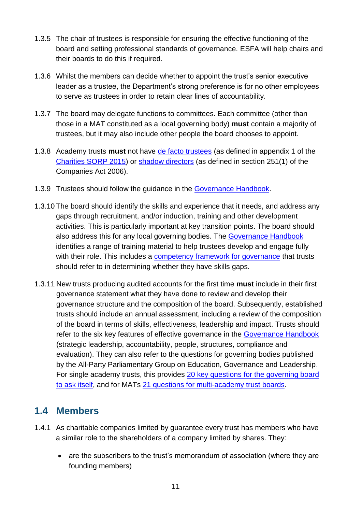- 1.3.5 The chair of trustees is responsible for ensuring the effective functioning of the board and setting professional standards of governance. ESFA will help chairs and their boards to do this if required.
- 1.3.6 Whilst the members can decide whether to appoint the trust's senior executive leader as a trustee, the Department's strong preference is for no other employees to serve as trustees in order to retain clear lines of accountability.
- <span id="page-10-2"></span>1.3.7 The board may delegate functions to committees. Each committee (other than those in a MAT constituted as a local governing body) **must** contain a majority of trustees, but it may also include other people the board chooses to appoint.
- <span id="page-10-3"></span>1.3.8 Academy trusts **must** not have [de facto trustees](#page-41-4) (as defined in appendix 1 of the [Charities SORP 2015\)](http://www.charitysorp.org/download-a-full-sorp/) or [shadow directors](#page-42-2) (as defined in section 251(1) of the Companies Act 2006).
- 1.3.9 Trustees should follow the guidance in the [Governance Handbook.](https://www.gov.uk/government/publications/governance-handbook)
- 1.3.10 The board should identify the skills and experience that it needs, and address any gaps through recruitment, and/or induction, training and other development activities. This is particularly important at key transition points. The board should also address this for any local governing bodies. The [Governance Handbook](https://www.gov.uk/government/publications/governance-handbook) identifies a range of training material to help trustees develop and engage fully with their role. This includes a [competency framework for governance](https://www.gov.uk/government/publications/governance-handbook) that trusts should refer to in determining whether they have skills gaps.
- <span id="page-10-4"></span>1.3.11 New trusts producing audited accounts for the first time **must** include in their first governance statement what they have done to review and develop their governance structure and the composition of the board. Subsequently, established trusts should include an annual assessment, including a review of the composition of the board in terms of skills, effectiveness, leadership and impact. Trusts should refer to the six key features of effective governance in the [Governance Handbook](https://www.gov.uk/government/publications/governance-handbook) (strategic leadership, accountability, people, structures, compliance and evaluation). They can also refer to the questions for governing bodies published by the All-Party Parliamentary Group on Education, Governance and Leadership. For single academy trusts, this provides [20 key questions for the governing board](http://www.nga.org.uk/Guidance/Workings-Of-The-Governing-Body/Governance-Tools/Twenty-Questions.aspx)  [to ask itself,](http://www.nga.org.uk/Guidance/Workings-Of-The-Governing-Body/Governance-Tools/Twenty-Questions.aspx) and for MATs [21 questions for multi-academy trust boards.](http://www.nga.org.uk/Guidance/School-structures-and-constitution/Academies-and-free-schools/Twenty-one-Questions-for-Multi-academy-Trust-Board.aspx)

### <span id="page-10-0"></span>**1.4 Members**

- <span id="page-10-1"></span>1.4.1 As charitable companies limited by guarantee every trust has members who have a similar role to the shareholders of a company limited by shares. They:
	- are the subscribers to the trust's memorandum of association (where they are founding members)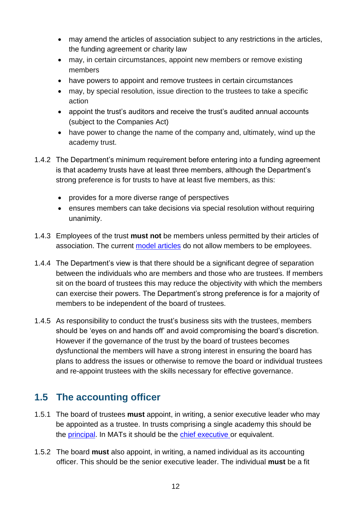- may amend the articles of association subject to any restrictions in the articles, the funding agreement or charity law
- may, in certain circumstances, appoint new members or remove existing members
- have powers to appoint and remove trustees in certain circumstances
- may, by special resolution, issue direction to the trustees to take a specific action
- appoint the trust's auditors and receive the trust's audited annual accounts (subject to the Companies Act)
- have power to change the name of the company and, ultimately, wind up the academy trust.
- 1.4.2 The Department's minimum requirement before entering into a funding agreement is that academy trusts have at least three members, although the Department's strong preference is for trusts to have at least five members, as this:
	- provides for a more diverse range of perspectives
	- ensures members can take decisions via special resolution without requiring unanimity.
- <span id="page-11-2"></span>1.4.3 Employees of the trust **must not** be members unless permitted by their articles of association. The current [model articles](https://www.gov.uk/government/publications/academy-model-memorandum-and-articles-of-association) do not allow members to be employees.
- 1.4.4 The Department's view is that there should be a significant degree of separation between the individuals who are members and those who are trustees. If members sit on the board of trustees this may reduce the objectivity with which the members can exercise their powers. The Department's strong preference is for a majority of members to be independent of the board of trustees.
- 1.4.5 As responsibility to conduct the trust's business sits with the trustees, members should be 'eyes on and hands off' and avoid compromising the board's discretion. However if the governance of the trust by the board of trustees becomes dysfunctional the members will have a strong interest in ensuring the board has plans to address the issues or otherwise to remove the board or individual trustees and re-appoint trustees with the skills necessary for effective governance.

### <span id="page-11-0"></span>**1.5 The accounting officer**

- <span id="page-11-1"></span>1.5.1 The board of trustees **must** appoint, in writing, a senior executive leader who may be appointed as a trustee. In trusts comprising a single academy this should be the **principal**. In MATs it should be the [chief executive](#page-40-3) or equivalent.
- 1.5.2 The board **must** also appoint, in writing, a named individual as its accounting officer. This should be the senior executive leader. The individual **must** be a fit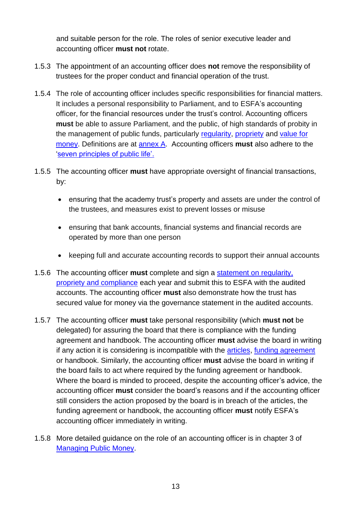and suitable person for the role. The roles of senior executive leader and accounting officer **must not** rotate.

- 1.5.3 The appointment of an accounting officer does **not** remove the responsibility of trustees for the proper conduct and financial operation of the trust.
- <span id="page-12-0"></span>1.5.4 The role of accounting officer includes specific responsibilities for financial matters. It includes a personal responsibility to Parliament, and to ESFA's accounting officer, for the financial resources under the trust's control. Accounting officers **must** be able to assure Parliament, and the public, of high standards of probity in the management of public funds, particularly [regularity,](#page-42-1) [propriety](#page-41-6) and [value for](#page-42-0)  [money.](#page-42-0) Definitions are at [annex A.](#page-40-4) Accounting officers **must** also adhere to the ['seven principles of public life'.](https://www.gov.uk/government/publications/the-7-principles-of-public-life)
- 1.5.5 The accounting officer **must** have appropriate oversight of financial transactions, by:
	- ensuring that the academy trust's property and assets are under the control of the trustees, and measures exist to prevent losses or misuse
	- ensuring that bank accounts, financial systems and financial records are operated by more than one person
	- keeping full and accurate accounting records to support their annual accounts
- <span id="page-12-1"></span>1.5.6 The accounting officer **must** complete and sign a [statement on regularity,](#page-40-5)  [propriety and compliance](#page-40-5) each year and submit this to ESFA with the audited accounts. The accounting officer **must** also demonstrate how the trust has secured value for money via the governance statement in the audited accounts.
- 1.5.7 The accounting officer **must** take personal responsibility (which **must not** be delegated) for assuring the board that there is compliance with the funding agreement and handbook. The accounting officer **must** advise the board in writing if any action it is considering is incompatible with the [articles,](#page-40-6) [funding agreement](#page-41-0) or handbook. Similarly, the accounting officer **must** advise the board in writing if the board fails to act where required by the funding agreement or handbook. Where the board is minded to proceed, despite the accounting officer's advice, the accounting officer **must** consider the board's reasons and if the accounting officer still considers the action proposed by the board is in breach of the articles, the funding agreement or handbook, the accounting officer **must** notify ESFA's accounting officer immediately in writing.
- 1.5.8 More detailed guidance on the role of an accounting officer is in [chapter 3 of](https://www.gov.uk/government/publications/managing-public-money)  [Managing Public Money.](https://www.gov.uk/government/publications/managing-public-money)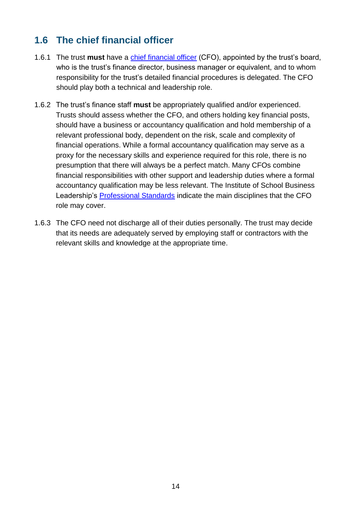### <span id="page-13-0"></span>**1.6 The chief financial officer**

- <span id="page-13-1"></span>1.6.1 The trust **must** have a [chief financial officer](#page-40-2) (CFO), appointed by the trust's board, who is the trust's finance director, business manager or equivalent, and to whom responsibility for the trust's detailed financial procedures is delegated. The CFO should play both a technical and leadership role.
- <span id="page-13-2"></span>1.6.2 The trust's finance staff **must** be appropriately qualified and/or experienced. Trusts should assess whether the CFO, and others holding key financial posts, should have a business or accountancy qualification and hold membership of a relevant professional body, dependent on the risk, scale and complexity of financial operations. While a formal accountancy qualification may serve as a proxy for the necessary skills and experience required for this role, there is no presumption that there will always be a perfect match. Many CFOs combine financial responsibilities with other support and leadership duties where a formal accountancy qualification may be less relevant. The Institute of School Business Leadership's [Professional Standards](https://isbl.org.uk/Standards/index.aspx) indicate the main disciplines that the CFO role may cover.
- 1.6.3 The CFO need not discharge all of their duties personally. The trust may decide that its needs are adequately served by employing staff or contractors with the relevant skills and knowledge at the appropriate time.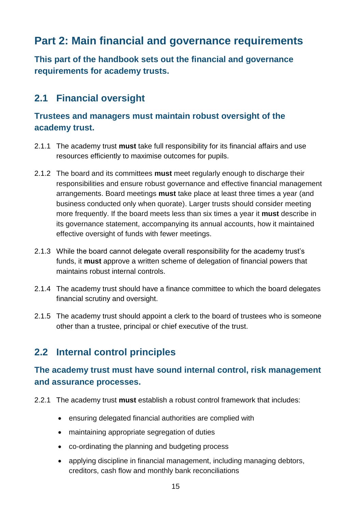# <span id="page-14-0"></span>**Part 2: Main financial and governance requirements**

**This part of the handbook sets out the financial and governance requirements for academy trusts.**

### <span id="page-14-1"></span>**2.1 Financial oversight**

### <span id="page-14-7"></span>**Trustees and managers must maintain robust oversight of the academy trust.**

- <span id="page-14-8"></span>2.1.1 The academy trust **must** take full responsibility for its financial affairs and use resources efficiently to maximise outcomes for pupils.
- <span id="page-14-5"></span><span id="page-14-3"></span>2.1.2 The board and its committees **must** meet regularly enough to discharge their responsibilities and ensure robust governance and effective financial management arrangements. Board meetings **must** take place at least three times a year (and business conducted only when quorate). Larger trusts should consider meeting more frequently. If the board meets less than six times a year it **must** describe in its governance statement, accompanying its annual accounts, how it maintained effective oversight of funds with fewer meetings.
- <span id="page-14-9"></span><span id="page-14-6"></span>2.1.3 While the board cannot delegate overall responsibility for the academy trust's funds, it **must** approve a written scheme of delegation of financial powers that maintains robust internal controls.
- 2.1.4 The academy trust should have a finance committee to which the board delegates financial scrutiny and oversight.
- 2.1.5 The academy trust should appoint a clerk to the board of trustees who is someone other than a trustee, principal or chief executive of the trust.

### <span id="page-14-2"></span>**2.2 Internal control principles**

### <span id="page-14-10"></span>**The academy trust must have sound internal control, risk management and assurance processes.**

- <span id="page-14-4"></span>2.2.1 The academy trust **must** establish a robust control framework that includes:
	- ensuring delegated financial authorities are complied with
	- maintaining appropriate segregation of duties
	- co-ordinating the planning and budgeting process
	- applying discipline in financial management, including managing debtors, creditors, cash flow and monthly bank reconciliations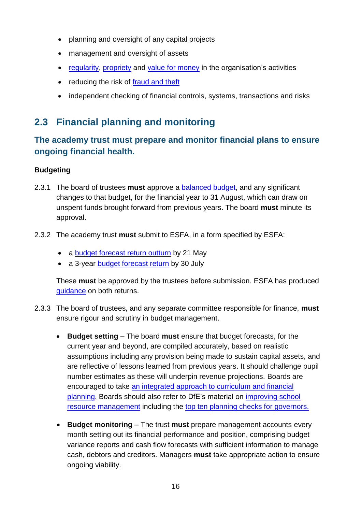- planning and oversight of any capital projects
- management and oversight of assets
- <span id="page-15-5"></span>• [regularity,](#page-42-1) [propriety](#page-41-6) and [value for money](#page-42-0) in the organisation's activities
- reducing the risk of [fraud and theft](#page-38-3)
- independent checking of financial controls, systems, transactions and risks

### <span id="page-15-0"></span>**2.3 Financial planning and monitoring**

### <span id="page-15-6"></span>**The academy trust must prepare and monitor financial plans to ensure ongoing financial health.**

#### **Budgeting**

- <span id="page-15-3"></span>2.3.1 The board of trustees **must** approve a [balanced budget,](#page-40-7) and any significant changes to that budget, for the financial year to 31 August, which can draw on unspent funds brought forward from previous years. The board **must** minute its approval.
- <span id="page-15-7"></span><span id="page-15-2"></span>2.3.2 The academy trust **must** submit to ESFA, in a form specified by ESFA:
	- a [budget forecast return outturn](https://www.gov.uk/guidance/academies-budget-forecast-return) by 21 May
	- a 3-year [budget forecast return](https://www.gov.uk/guidance/academies-budget-forecast-return) by 30 July

These **must** be approved by the trustees before submission. ESFA has produced [guidance](https://www.gov.uk/guidance/academies-budget-forecast-return) on both returns.

- <span id="page-15-4"></span><span id="page-15-1"></span>2.3.3 The board of trustees, and any separate committee responsible for finance, **must** ensure rigour and scrutiny in budget management.
	- **Budget setting** The board **must** ensure that budget forecasts, for the current year and beyond, are compiled accurately, based on realistic assumptions including any provision being made to sustain capital assets, and are reflective of lessons learned from previous years. It should challenge pupil number estimates as these will underpin revenue projections. Boards are encouraged to take [an integrated approach to curriculum and financial](https://www.gov.uk/guidance/improving-financial-efficiency-with-curriculum-planning)  [planning.](https://www.gov.uk/guidance/improving-financial-efficiency-with-curriculum-planning) Boards should also refer to DfE's material on [improving school](https://www.gov.uk/government/collections/schools-financial-health-and-efficiency)  [resource management](https://www.gov.uk/government/collections/schools-financial-health-and-efficiency) including the [top ten planning checks for governors.](https://www.gov.uk/guidance/schools-financial-efficiency-top-10-planning-checks-for-governors)
	- **Budget monitoring** The trust **must** prepare management accounts every month setting out its financial performance and position, comprising budget variance reports and cash flow forecasts with sufficient information to manage cash, debtors and creditors. Managers **must** take appropriate action to ensure ongoing viability.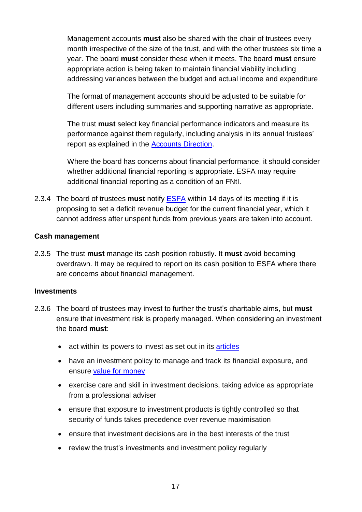Management accounts **must** also be shared with the chair of trustees every month irrespective of the size of the trust, and with the other trustees six time a year. The board **must** consider these when it meets. The board **must** ensure appropriate action is being taken to maintain financial viability including addressing variances between the budget and actual income and expenditure.

The format of management accounts should be adjusted to be suitable for different users including summaries and supporting narrative as appropriate.

The trust **must** select key financial performance indicators and measure its performance against them regularly, including analysis in its annual trustees' report as explained in the [Accounts Direction.](https://www.gov.uk/government/publications/academies-accounts-direction)

Where the board has concerns about financial performance, it should consider whether additional financial reporting is appropriate. ESFA may require additional financial reporting as a condition of an FNtI.

<span id="page-16-1"></span>2.3.4 The board of trustees **must** notify [ESFA](http://www.education.gov.uk/kc-enquiry-form) within 14 days of its meeting if it is proposing to set a deficit revenue budget for the current financial year, which it cannot address after unspent funds from previous years are taken into account.

#### **Cash management**

<span id="page-16-0"></span>2.3.5 The trust **must** manage its cash position robustly. It **must** avoid becoming overdrawn. It may be required to report on its cash position to ESFA where there are concerns about financial management.

#### <span id="page-16-2"></span>**Investments**

- 2.3.6 The board of trustees may invest to further the trust's charitable aims, but **must** ensure that investment risk is properly managed. When considering an investment the board **must**:
	- act within its powers to invest as set out in its [articles](#page-40-6)
	- have an investment policy to manage and track its financial exposure, and ensure [value for money](#page-42-0)
	- exercise care and skill in investment decisions, taking advice as appropriate from a professional adviser
	- ensure that exposure to investment products is tightly controlled so that security of funds takes precedence over revenue maximisation
	- ensure that investment decisions are in the best interests of the trust
	- review the trust's investments and investment policy regularly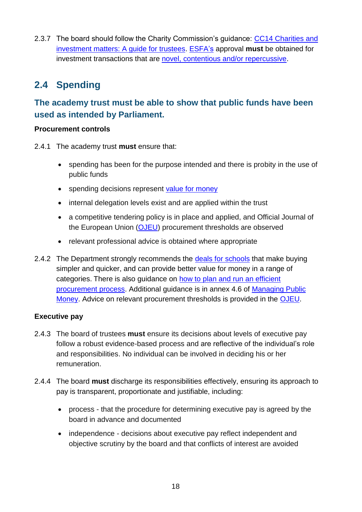2.3.7 The board should follow the Charity Commission's quidance: CC14 Charities and [investment matters: A guide for trustees.](https://www.gov.uk/government/publications/charities-and-investment-matters-a-guide-for-trustees-cc14) [ESFA's](http://www.education.gov.uk/kc-enquiry-form) approval **must** be obtained for investment transactions that are [novel, contentious and/or repercussive.](#page-22-2)

# <span id="page-17-0"></span>**2.4 Spending**

### <span id="page-17-5"></span>**The academy trust must be able to show that public funds have been used as intended by Parliament.**

#### **Procurement controls**

2.4.1 The academy trust **must** ensure that:

- <span id="page-17-4"></span> spending has been for the purpose intended and there is probity in the use of public funds
- spending decisions represent [value for money](#page-42-0)
- internal delegation levels exist and are applied within the trust
- a competitive tendering policy is in place and applied, and Official Journal of the European Union [\(OJEU\)](http://www.ojec.com/Threshholds.aspx) procurement thresholds are observed
- <span id="page-17-1"></span>• relevant professional advice is obtained where appropriate
- 2.4.2 The Department strongly recommends the [deals for schools](https://www.gov.uk/guidance/buying-for-schools/deals-for-schools) that make buying simpler and quicker, and can provide better value for money in a range of categories. There is also guidance on [how to plan and run an efficient](https://www.gov.uk/guidance/buying-for-schools)  [procurement process.](https://www.gov.uk/guidance/buying-for-schools) Additional guidance is in annex 4.6 of [Managing Public](https://www.gov.uk/government/publications/managing-public-money)  [Money.](https://www.gov.uk/government/publications/managing-public-money) Advice on relevant procurement thresholds is provided in the [OJEU.](http://www.ojec.com/Threshholds.aspx)

#### **Executive pay**

- <span id="page-17-3"></span>2.4.3 The board of trustees **must** ensure its decisions about levels of executive pay follow a robust evidence-based process and are reflective of the individual's role and responsibilities. No individual can be involved in deciding his or her remuneration.
- <span id="page-17-2"></span>2.4.4 The board **must** discharge its responsibilities effectively, ensuring its approach to pay is transparent, proportionate and justifiable, including:
	- process that the procedure for determining executive pay is agreed by the board in advance and documented
	- independence decisions about executive pay reflect independent and objective scrutiny by the board and that conflicts of interest are avoided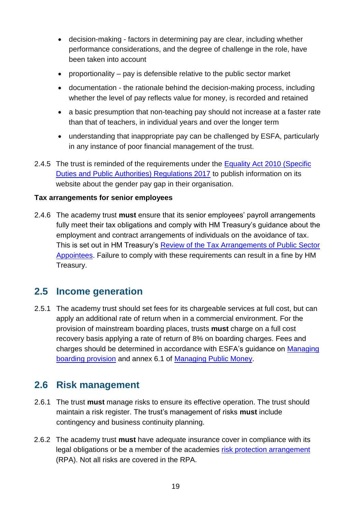- decision-making factors in determining pay are clear, including whether performance considerations, and the degree of challenge in the role, have been taken into account
- proportionality  $-$  pay is defensible relative to the public sector market
- documentation the rationale behind the decision-making process, including whether the level of pay reflects value for money, is recorded and retained
- a basic presumption that non-teaching pay should not increase at a faster rate than that of teachers, in individual years and over the longer term
- understanding that inappropriate pay can be challenged by ESFA, particularly in any instance of poor financial management of the trust.
- 2.4.5 The trust is reminded of the requirements under the Equality Act 2010 (Specific [Duties and Public Authorities\) Regulations 2017](http://www.legislation.gov.uk/uksi/2017/353/contents/made) to publish information on its website about the gender pay gap in their organisation.

#### **Tax arrangements for senior employees**

<span id="page-18-3"></span>2.4.6 The academy trust **must** ensure that its senior employees' payroll arrangements fully meet their tax obligations and comply with HM Treasury's guidance about the employment and contract arrangements of individuals on the avoidance of tax. This is set out in HM Treasury's [Review of the Tax Arrangements of Public Sector](https://www.gov.uk/government/publications/review-of-the-tax-arrangements-of-public-sector-appointees)  [Appointees.](https://www.gov.uk/government/publications/review-of-the-tax-arrangements-of-public-sector-appointees) Failure to comply with these requirements can result in a fine by HM Treasury.

### <span id="page-18-0"></span>**2.5 Income generation**

<span id="page-18-4"></span>2.5.1 The academy trust should set fees for its chargeable services at full cost, but can apply an additional rate of return when in a commercial environment. For the provision of mainstream boarding places, trusts **must** charge on a full cost recovery basis applying a rate of return of 8% on boarding charges. Fees and charges should be determined in accordance with ESFA's guidance on [Managing](https://www.gov.uk/government/publications/state-funded-boarding-school-provision-management-and-charges)  [boarding provision](https://www.gov.uk/government/publications/state-funded-boarding-school-provision-management-and-charges) and annex 6.1 of [Managing Public Money.](https://www.gov.uk/government/publications/managing-public-money)

### <span id="page-18-1"></span>**2.6 Risk management**

- <span id="page-18-5"></span>2.6.1 The trust **must** manage risks to ensure its effective operation. The trust should maintain a risk register. The trust's management of risks **must** include contingency and business continuity planning.
- <span id="page-18-6"></span><span id="page-18-2"></span>2.6.2 The academy trust **must** have adequate insurance cover in compliance with its legal obligations or be a member of the academies [risk protection arrangement](https://www.gov.uk/academies-risk-protection-arrangement-rpa) (RPA). Not all risks are covered in the RPA.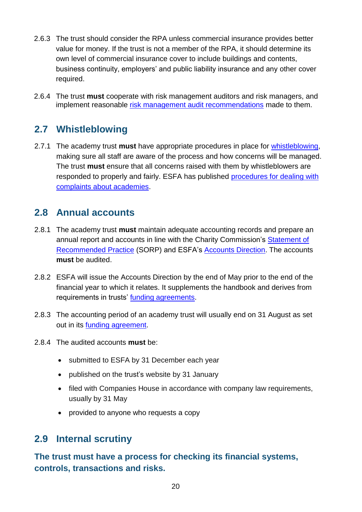- 2.6.3 The trust should consider the RPA unless commercial insurance provides better value for money. If the trust is not a member of the RPA, it should determine its own level of commercial insurance cover to include buildings and contents, business continuity, employers' and public liability insurance and any other cover required.
- <span id="page-19-5"></span>2.6.4 The trust **must** cooperate with risk management auditors and risk managers, and implement reasonable [risk management audit recommendations](https://dfeclaimforms.co.uk/faq) made to them.

### <span id="page-19-0"></span>**2.7 Whistleblowing**

<span id="page-19-3"></span>2.7.1 The academy trust **must** have appropriate procedures in place for [whistleblowing,](#page-42-3) making sure all staff are aware of the process and how concerns will be managed. The trust **must** ensure that all concerns raised with them by whistleblowers are responded to properly and fairly. ESFA has published [procedures for dealing with](https://www.gov.uk/government/publications/complain-about-an-academy)  [complaints about academies.](https://www.gov.uk/government/publications/complain-about-an-academy)

### <span id="page-19-6"></span><span id="page-19-1"></span>**2.8 Annual accounts**

- 2.8.1 The academy trust **must** maintain adequate accounting records and prepare an annual report and accounts in line with the Charity Commission's Statement of [Recommended Practice](http://charitysorp.org/) (SORP) and ESFA's [Accounts Direction.](https://www.gov.uk/government/publications/academies-accounts-direction) The accounts **must** be audited.
- 2.8.2 ESFA will issue the Accounts Direction by the end of May prior to the end of the financial year to which it relates. It supplements the handbook and derives from requirements in trusts' [funding agreements.](#page-41-0)
- 2.8.3 The accounting period of an academy trust will usually end on 31 August as set out in its [funding agreement.](#page-41-0)
- <span id="page-19-4"></span>2.8.4 The audited accounts **must** be:
	- submitted to ESFA by 31 December each year
	- published on the trust's website by 31 January
	- filed with [Companies House](http://www.companieshouse.gov.uk/) in accordance with company law requirements, usually by 31 May
	- provided to anyone who requests a copy

### <span id="page-19-2"></span>**2.9 Internal scrutiny**

<span id="page-19-7"></span>**The trust must have a process for checking its financial systems, controls, transactions and risks.**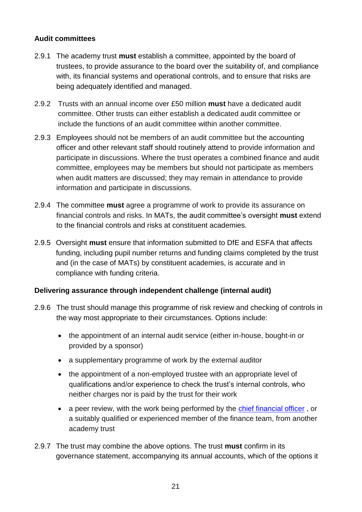#### <span id="page-20-1"></span>**Audit committees**

- 2.9.1 The academy trust **must** establish a committee, appointed by the board of trustees, to provide assurance to the board over the suitability of, and compliance with, its financial systems and operational controls, and to ensure that risks are being adequately identified and managed.
- 2.9.2 Trusts with an annual income over £50 million **must** have a dedicated audit committee. Other trusts can either establish a dedicated audit committee or include the functions of an audit committee within another committee.
- 2.9.3 Employees should not be members of an audit committee but the accounting officer and other relevant staff should routinely attend to provide information and participate in discussions. Where the trust operates a combined finance and audit committee, employees may be members but should not participate as members when audit matters are discussed; they may remain in attendance to provide information and participate in discussions.
- <span id="page-20-2"></span>2.9.4 The committee **must** agree a programme of work to provide its assurance on financial controls and risks. In MATs, the audit committee's oversight **must** extend to the financial controls and risks at constituent academies.
- <span id="page-20-3"></span>2.9.5 Oversight **must** ensure that information submitted to DfE and ESFA that affects funding, including pupil number returns and funding claims completed by the trust and (in the case of MATs) by constituent academies, is accurate and in compliance with funding criteria.

#### **Delivering assurance through independent challenge (internal audit)**

- 2.9.6 The trust should manage this programme of risk review and checking of controls in the way most appropriate to their circumstances. Options include:
	- the appointment of an internal audit service (either in-house, bought-in or provided by a sponsor)
	- a supplementary programme of work by the external auditor
	- the appointment of a non-employed trustee with an appropriate level of qualifications and/or experience to check the trust's internal controls, who neither charges nor is paid by the trust for their work
	- a peer review, with the work being performed by the [chief financial officer](#page-40-2), or a suitably qualified or experienced member of the finance team, from another academy trust
- <span id="page-20-4"></span><span id="page-20-0"></span>2.9.7 The trust may combine the above options. The trust **must** confirm in its governance statement, accompanying its annual accounts, which of the options it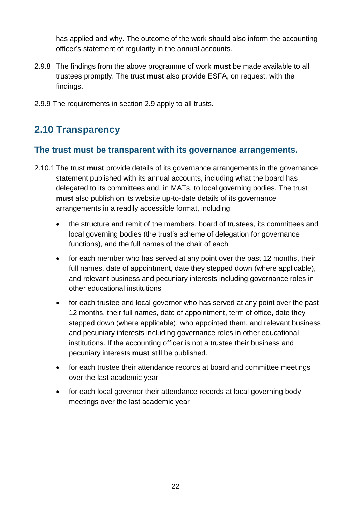has applied and why. The outcome of the work should also inform the accounting officer's statement of regularity in the annual accounts.

- <span id="page-21-1"></span>2.9.8 The findings from the above programme of work **must** be made available to all trustees promptly. The trust **must** also provide ESFA, on request, with the findings.
- 2.9.9 The requirements in section 2.9 apply to all trusts.

# <span id="page-21-0"></span>**2.10 Transparency**

#### <span id="page-21-2"></span>**The trust must be transparent with its governance arrangements.**

- <span id="page-21-4"></span><span id="page-21-3"></span>2.10.1 The trust **must** provide details of its governance arrangements in the governance statement published with its annual accounts, including what the board has delegated to its committees and, in MATs, to local governing bodies. The trust **must** also publish on its website up-to-date details of its governance arrangements in a readily accessible format, including:
	- the structure and remit of the members, board of trustees, its committees and local governing bodies (the trust's scheme of delegation for governance functions), and the full names of the chair of each
	- for each member who has served at any point over the past 12 months, their full names, date of appointment, date they stepped down (where applicable), and relevant business and pecuniary interests including governance roles in other educational institutions
	- for each trustee and local governor who has served at any point over the past 12 months, their full names, date of appointment, term of office, date they stepped down (where applicable), who appointed them, and relevant business and pecuniary interests including governance roles in other educational institutions. If the accounting officer is not a trustee their business and pecuniary interests **must** still be published.
	- for each trustee their attendance records at board and committee meetings over the last academic year
	- for each local governor their attendance records at local governing body meetings over the last academic year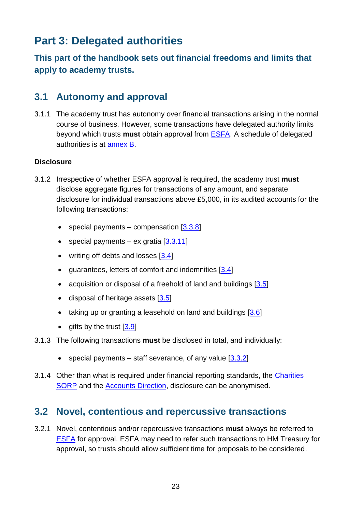# <span id="page-22-0"></span>**Part 3: Delegated authorities**

**This part of the handbook sets out financial freedoms and limits that apply to academy trusts.**

### <span id="page-22-1"></span>**3.1 Autonomy and approval**

<span id="page-22-3"></span>3.1.1 The academy trust has autonomy over financial transactions arising in the normal course of business. However, some transactions have delegated authority limits beyond which trusts **must** obtain approval from [ESFA.](http://www.education.gov.uk/kc-enquiry-form) A schedule of delegated authorities is at [annex B.](#page-43-0)

#### **Disclosure**

- <span id="page-22-4"></span>3.1.2 Irrespective of whether ESFA approval is required, the academy trust **must** disclose aggregate figures for transactions of any amount, and separate disclosure for individual transactions above £5,000, in its audited accounts for the following transactions:
	- special payments compensation  $[3.3.8]$
	- special payments ex gratia  $[3.3.11]$
	- $\bullet$  writing off debts and losses  $[3.4]$
	- quarantees, letters of comfort and indemnities [\[3.4\]](#page-25-2)
	- acquisition or disposal of a freehold of land and buildings [\[3.5\]](#page-26-2)
	- $\bullet$  disposal of heritage assets  $[3.5]$
	- taking up or granting a leasehold on land and buildings  $[3.6]$
	- $\bullet$  gifts by the trust  $[3.9]$
- 3.1.3 The following transactions **must** be disclosed in total, and individually:
	- special payments staff severance, of any value  $[3.3.2]$
- 3.1.4 Other than what is required under financial reporting standards, the [Charities](http://www.charitysorp.org/)  [SORP](http://www.charitysorp.org/) and the [Accounts Direction,](https://www.gov.uk/academies-accounts-direction) disclosure can be anonymised.

### <span id="page-22-2"></span>**3.2 Novel, contentious and repercussive transactions**

<span id="page-22-5"></span>3.2.1 Novel, contentious and/or repercussive transactions **must** always be referred to [ESFA](http://www.education.gov.uk/kc-enquiry-form) for approval. ESFA may need to refer such transactions to HM Treasury for approval, so trusts should allow sufficient time for proposals to be considered.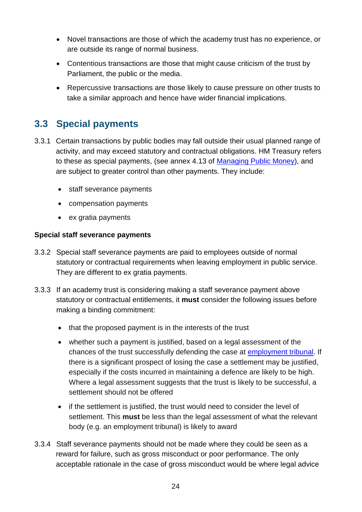- Novel transactions are those of which the academy trust has no experience, or are outside its range of normal business.
- Contentious transactions are those that might cause criticism of the trust by Parliament, the public or the media.
- Repercussive transactions are those likely to cause pressure on other trusts to take a similar approach and hence have wider financial implications.

### <span id="page-23-1"></span><span id="page-23-0"></span>**3.3 Special payments**

- 3.3.1 Certain transactions by public bodies may fall outside their usual planned range of activity, and may exceed statutory and contractual obligations. HM Treasury refers to these as special payments, (see annex 4.13 of [Managing Public Money\)](https://www.gov.uk/government/publications/managing-public-money), and are subject to greater control than other payments. They include:
	- staff severance payments
	- compensation payments
	- ex gratia payments

#### **Special staff severance payments**

- <span id="page-23-2"></span>3.3.2 Special staff severance payments are paid to employees outside of normal statutory or contractual requirements when leaving employment in public service. They are different to ex gratia payments.
- <span id="page-23-3"></span>3.3.3 If an academy trust is considering making a staff severance payment above statutory or contractual entitlements, it **must** consider the following issues before making a binding commitment:
	- that the proposed payment is in the interests of the trust
	- whether such a payment is justified, based on a legal assessment of the chances of the trust successfully defending the case at [employment tribunal.](https://www.gov.uk/being-taken-to-employment-tribunal-by-employee) If there is a significant prospect of losing the case a settlement may be justified, especially if the costs incurred in maintaining a defence are likely to be high. Where a legal assessment suggests that the trust is likely to be successful, a settlement should not be offered
	- if the settlement is justified, the trust would need to consider the level of settlement. This **must** be less than the legal assessment of what the relevant body (e.g. an employment tribunal) is likely to award
- 3.3.4 Staff severance payments should not be made where they could be seen as a reward for failure, such as gross misconduct or poor performance. The only acceptable rationale in the case of gross misconduct would be where legal advice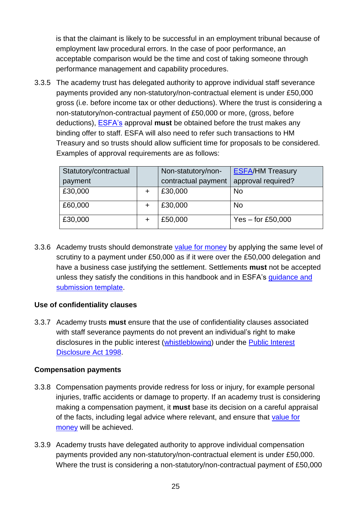is that the claimant is likely to be successful in an employment tribunal because of employment law procedural errors. In the case of poor performance, an acceptable comparison would be the time and cost of taking someone through performance management and capability procedures.

<span id="page-24-1"></span>3.3.5 The academy trust has delegated authority to approve individual staff severance payments provided any non-statutory/non-contractual element is under £50,000 gross (i.e. before income tax or other deductions). Where the trust is considering a non-statutory/non-contractual payment of £50,000 or more, (gross, before deductions), [ESFA's](http://www.education.gov.uk/kc-enquiry-form) approval **must** be obtained before the trust makes any binding offer to staff. ESFA will also need to refer such transactions to HM Treasury and so trusts should allow sufficient time for proposals to be considered. Examples of approval requirements are as follows:

| Statutory/contractual<br>payment | Non-statutory/non-<br>contractual payment | <b>ESFA/HM Treasury</b><br>approval required? |
|----------------------------------|-------------------------------------------|-----------------------------------------------|
| £30,000                          | £30,000                                   | <b>No</b>                                     |
| £60,000                          | £30,000                                   | <b>No</b>                                     |
| £30,000                          | £50,000                                   | Yes $-$ for £50,000                           |

<span id="page-24-3"></span>3.3.6 Academy trusts should demonstrate [value for money](#page-42-0) by applying the same level of scrutiny to a payment under £50,000 as if it were over the £50,000 delegation and have a business case justifying the settlement. Settlements **must** not be accepted unless they satisfy the conditions in this handbook and in ESFA's [guidance and](https://www.gov.uk/academies-severance-payments)  [submission template.](https://www.gov.uk/academies-severance-payments)

#### **Use of confidentiality clauses**

<span id="page-24-4"></span>3.3.7 Academy trusts **must** ensure that the use of confidentiality clauses associated with staff severance payments do not prevent an individual's right to make disclosures in the public interest [\(whistleblowing\)](#page-42-3) under the [Public Interest](http://www.legislation.gov.uk/ukpga/1998/23/contents)  [Disclosure Act 1998.](http://www.legislation.gov.uk/ukpga/1998/23/contents)

#### **Compensation payments**

- <span id="page-24-0"></span>3.3.8 Compensation payments provide redress for loss or injury, for example personal injuries, traffic accidents or damage to property. If an academy trust is considering making a compensation payment, it **must** base its decision on a careful appraisal of the facts, including legal advice where relevant, and ensure that [value for](#page-42-0)  [money](#page-42-0) will be achieved.
- <span id="page-24-2"></span>3.3.9 Academy trusts have delegated authority to approve individual compensation payments provided any non-statutory/non-contractual element is under £50,000. Where the trust is considering a non-statutory/non-contractual payment of £50,000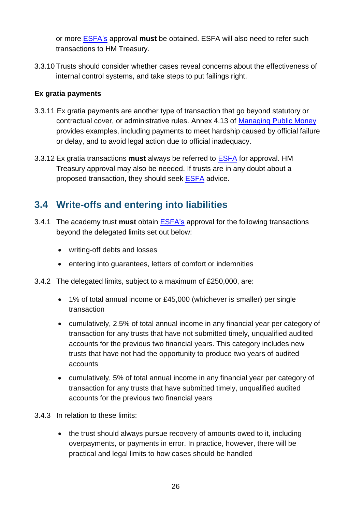or more [ESFA's](http://www.education.gov.uk/kc-enquiry-form) approval **must** be obtained. ESFA will also need to refer such transactions to HM Treasury.

3.3.10 Trusts should consider whether cases reveal concerns about the effectiveness of internal control systems, and take steps to put failings right.

#### **Ex gratia payments**

- <span id="page-25-1"></span>3.3.11 Ex gratia payments are another type of transaction that go beyond statutory or contractual cover, or administrative rules. Annex 4.13 of [Managing Public Money](https://www.gov.uk/government/publications/managing-public-money) provides examples, including payments to meet hardship caused by official failure or delay, and to avoid legal action due to official inadequacy.
- <span id="page-25-3"></span>3.3.12 Ex gratia transactions **must** always be referred to [ESFA](http://www.education.gov.uk/kc-enquiry-form) for approval. HM Treasury approval may also be needed. If trusts are in any doubt about a proposed transaction, they should seek [ESFA](http://www.education.gov.uk/kc-enquiry-form) advice.

### <span id="page-25-0"></span>**3.4 Write-offs and entering into liabilities**

- <span id="page-25-2"></span>3.4.1 The academy trust **must** obtain [ESFA's](http://www.education.gov.uk/kc-enquiry-form) approval for the following transactions beyond the delegated limits set out below:
	- writing-off debts and losses
	- entering into guarantees, letters of comfort or indemnities
- 3.4.2 The delegated limits, subject to a maximum of £250,000, are:
	- 1% of total annual income or £45,000 (whichever is smaller) per single transaction
	- cumulatively, 2.5% of total annual income in any financial year per category of transaction for any trusts that have not submitted timely, unqualified audited accounts for the previous two financial years. This category includes new trusts that have not had the opportunity to produce two years of audited accounts
	- cumulatively, 5% of total annual income in any financial year per category of transaction for any trusts that have submitted timely, unqualified audited accounts for the previous two financial years
- 3.4.3 In relation to these limits:
	- the trust should always pursue recovery of amounts owed to it, including overpayments, or payments in error. In practice, however, there will be practical and legal limits to how cases should be handled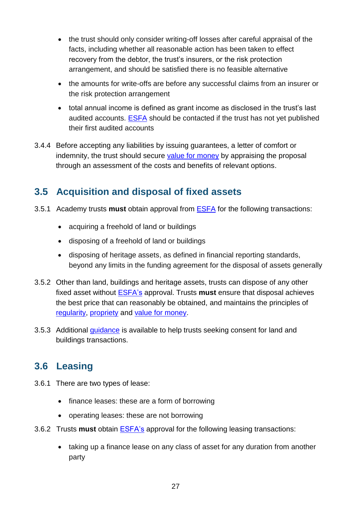- the trust should only consider writing-off losses after careful appraisal of the facts, including whether all reasonable action has been taken to effect recovery from the debtor, the trust's insurers, or the risk protection arrangement, and should be satisfied there is no feasible alternative
- the amounts for write-offs are before any successful claims from an insurer or the risk protection arrangement
- total annual income is defined as grant income as disclosed in the trust's last audited accounts. [ESFA](http://www.education.gov.uk/kc-enquiry-form) should be contacted if the trust has not yet published their first audited accounts
- 3.4.4 Before accepting any liabilities by issuing guarantees, a letter of comfort or indemnity, the trust should secure [value for money](#page-42-0) by appraising the proposal through an assessment of the costs and benefits of relevant options.

### <span id="page-26-0"></span>**3.5 Acquisition and disposal of fixed assets**

- <span id="page-26-2"></span>3.5.1 Academy trusts **must** obtain approval from [ESFA](http://www.education.gov.uk/kc-enquiry-form) for the following transactions:
	- acquiring a freehold of land or buildings
	- disposing of a freehold of land or buildings
	- disposing of heritage assets, as defined in financial reporting standards, beyond any limits in the funding agreement for the disposal of assets generally
- <span id="page-26-4"></span>3.5.2 Other than land, buildings and heritage assets, trusts can dispose of any other fixed asset without [ESFA's](http://www.education.gov.uk/kc-enquiry-form) approval. Trusts **must** ensure that disposal achieves the best price that can reasonably be obtained, and maintains the principles of [regularity,](#page-42-1) [propriety](#page-41-6) and [value for money.](#page-42-0)
- 3.5.3 Additional quidance is available to help trusts seeking consent for land and buildings transactions.

### <span id="page-26-1"></span>**3.6 Leasing**

- <span id="page-26-3"></span>3.6.1 There are two types of lease:
	- finance leases: these are a form of borrowing
	- operating leases: these are not borrowing
- <span id="page-26-5"></span>3.6.2 Trusts **must** obtain [ESFA's](http://www.education.gov.uk/kc-enquiry-form) approval for the following leasing transactions:
	- taking up a finance lease on any class of asset for any duration from another party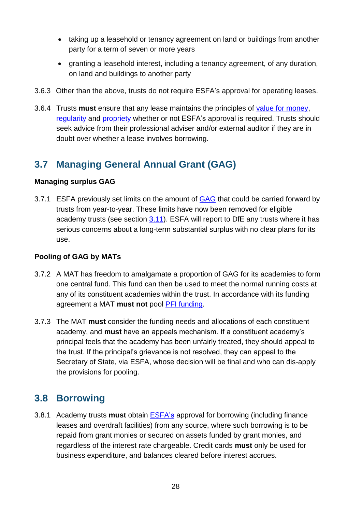- taking up a leasehold or tenancy agreement on land or buildings from another party for a term of seven or more years
- granting a leasehold interest, including a tenancy agreement, of any duration, on land and buildings to another party
- <span id="page-27-4"></span>3.6.3 Other than the above, trusts do not require ESFA's approval for operating leases.
- 3.6.4 Trusts **must** ensure that any lease maintains the principles of [value for money,](#page-42-0) [regularity](#page-42-1) and [propriety](#page-41-6) whether or not ESFA's approval is required. Trusts should seek advice from their professional adviser and/or external auditor if they are in doubt over whether a lease involves borrowing.

### <span id="page-27-0"></span>**3.7 Managing General Annual Grant (GAG)**

#### **Managing surplus GAG**

<span id="page-27-2"></span>3.7.1 ESFA previously set limits on the amount of [GAG](#page-41-7) that could be carried forward by trusts from year-to-year. These limits have now been removed for eligible academy trusts (see section [3.11\)](#page-33-1). ESFA will report to DfE any trusts where it has serious concerns about a long-term substantial surplus with no clear plans for its use.

#### **Pooling of GAG by MATs**

- <span id="page-27-3"></span>3.7.2 A MAT has freedom to amalgamate a proportion of GAG for its academies to form one central fund. This fund can then be used to meet the normal running costs at any of its constituent academies within the trust. In accordance with its funding agreement a MAT **must not** pool [PFI funding.](#page-41-8)
- <span id="page-27-6"></span>3.7.3 The MAT **must** consider the funding needs and allocations of each constituent academy, and **must** have an appeals mechanism. If a constituent academy's principal feels that the academy has been unfairly treated, they should appeal to the trust. If the principal's grievance is not resolved, they can appeal to the Secretary of State, via ESFA, whose decision will be final and who can dis-apply the provisions for pooling.

### <span id="page-27-5"></span><span id="page-27-1"></span>**3.8 Borrowing**

<span id="page-27-7"></span>3.8.1 Academy trusts **must** obtain [ESFA's](http://www.education.gov.uk/kc-enquiry-form) approval for borrowing (including finance leases and overdraft facilities) from any source, where such borrowing is to be repaid from grant monies or secured on assets funded by grant monies, and regardless of the interest rate chargeable. Credit cards **must** only be used for business expenditure, and balances cleared before interest accrues.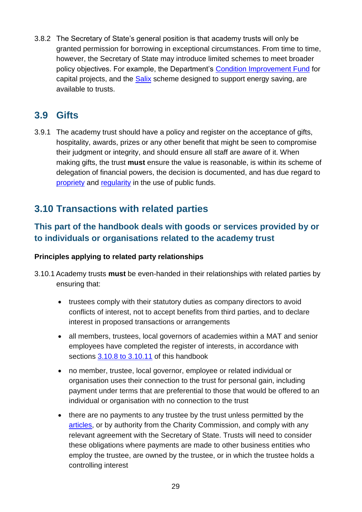3.8.2 The Secretary of State's general position is that academy trusts will only be granted permission for borrowing in exceptional circumstances. From time to time, however, the Secretary of State may introduce limited schemes to meet broader policy objectives. For example, the Department's [Condition Improvement Fund](https://www.gov.uk/condition-improvement-fund) for capital projects, and the [Salix](http://salixfinance.co.uk/loans/) scheme designed to support energy saving, are available to trusts.

### <span id="page-28-0"></span>**3.9 Gifts**

<span id="page-28-2"></span>3.9.1 The academy trust should have a policy and register on the acceptance of gifts, hospitality, awards, prizes or any other benefit that might be seen to compromise their judgment or integrity, and should ensure all staff are aware of it. When making gifts, the trust **must** ensure the value is reasonable, is within its scheme of delegation of financial powers, the decision is documented, and has due regard to [propriety](#page-41-6) and [regularity](#page-42-1) in the use of public funds.

### <span id="page-28-1"></span>**3.10 Transactions with related parties**

### **This part of the handbook deals with goods or services provided by or to individuals or organisations related to the academy trust**

#### **Principles applying to related party relationships**

- <span id="page-28-3"></span>3.10.1 Academy trusts **must** be even-handed in their relationships with related parties by ensuring that:
	- trustees comply with their statutory duties as company directors to avoid conflicts of interest, not to accept benefits from third parties, and to declare interest in proposed transactions or arrangements
	- all members, trustees, local governors of academies within a MAT and senior employees have completed the register of interests, in accordance with sections [3.10.8 to 3.10.11](#page-30-0) of this handbook
	- no member, trustee, local governor, employee or related individual or organisation uses their connection to the trust for personal gain, including payment under terms that are preferential to those that would be offered to an individual or organisation with no connection to the trust
	- there are no payments to any trustee by the trust unless permitted by the [articles,](#page-40-6) or by authority from the [Charity Commission,](https://www.gov.uk/government/organisations/charity-commission) and comply with any relevant agreement with the Secretary of State. Trusts will need to consider these obligations where payments are made to other business entities who employ the trustee, are owned by the trustee, or in which the trustee holds a controlling interest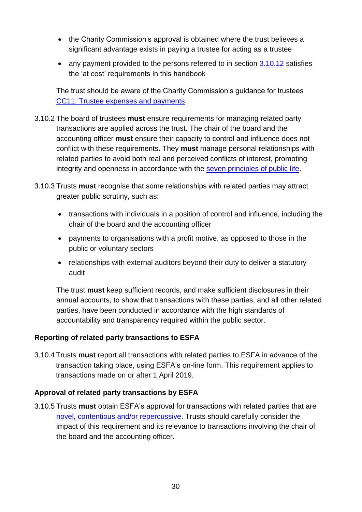- the [Charity Commission's](https://www.gov.uk/government/organisations/charity-commission) approval is obtained where the trust believes a significant advantage exists in paying a trustee for acting as a trustee
- any payment provided to the persons referred to in section [3.10.12](#page-31-0) satisfies the 'at cost' requirements in this handbook

The trust should be aware of the Charity Commission's guidance for trustees [CC11: Trustee expenses and payments.](https://www.gov.uk/government/publications/trustee-expenses-and-payments-cc11)

- <span id="page-29-1"></span>3.10.2 The board of trustees **must** ensure requirements for managing related party transactions are applied across the trust. The chair of the board and the accounting officer **must** ensure their capacity to control and influence does not conflict with these requirements. They **must** manage personal relationships with related parties to avoid both real and perceived conflicts of interest, promoting integrity and openness in accordance with the [seven principles of public life.](https://www.gov.uk/government/publications/the-7-principles-of-public-life)
- <span id="page-29-2"></span>3.10.3 Trusts **must** recognise that some relationships with related parties may attract greater public scrutiny, such as:
	- transactions with individuals in a position of control and influence, including the chair of the board and the accounting officer
	- payments to organisations with a profit motive, as opposed to those in the public or voluntary sectors
	- relationships with external auditors beyond their duty to deliver a statutory audit

The trust **must** keep sufficient records, and make sufficient disclosures in their annual accounts, to show that transactions with these parties, and all other related parties, have been conducted in accordance with the high standards of accountability and transparency required within the public sector.

#### **Reporting of related party transactions to ESFA**

<span id="page-29-0"></span>3.10.4 Trusts **must** report all transactions with related parties to ESFA in advance of the transaction taking place, using ESFA's on-line form. This requirement applies to transactions made on or after 1 April 2019.

#### **Approval of related party transactions by ESFA**

<span id="page-29-3"></span>3.10.5 Trusts **must** obtain ESFA's approval for transactions with related parties that are [novel, contentious and/or repercussive.](#page-22-2) Trusts should carefully consider the impact of this requirement and its relevance to transactions involving the chair of the board and the accounting officer.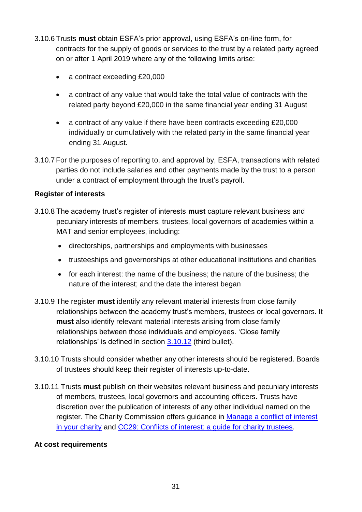- <span id="page-30-1"></span>3.10.6 Trusts **must** obtain ESFA's prior approval, using ESFA's on-line form, for contracts for the supply of goods or services to the trust by a related party agreed on or after 1 April 2019 where any of the following limits arise:
	- a contract exceeding £20,000
	- a contract of any value that would take the total value of contracts with the related party beyond £20,000 in the same financial year ending 31 August
	- a contract of any value if there have been contracts exceeding £20,000 individually or cumulatively with the related party in the same financial year ending 31 August.
- 3.10.7 For the purposes of reporting to, and approval by, ESFA, transactions with related parties do not include salaries and other payments made by the trust to a person under a contract of employment through the trust's payroll.

#### **Register of interests**

- <span id="page-30-0"></span>3.10.8 The academy trust's register of interests **must** capture relevant business and pecuniary interests of members, trustees, local governors of academies within a MAT and senior employees, including:
	- directorships, partnerships and employments with businesses
	- trusteeships and governorships at other educational institutions and charities
	- for each interest: the name of the business; the nature of the business; the nature of the interest; and the date the interest began
- <span id="page-30-2"></span>3.10.9 The register **must** identify any relevant material interests from close family relationships between the academy trust's members, trustees or local governors. It **must** also identify relevant material interests arising from close family relationships between those individuals and employees. 'Close family relationships' is defined in section [3.10.12](#page-31-0) (third bullet).
- 3.10.10 Trusts should consider whether any other interests should be registered. Boards of trustees should keep their register of interests up-to-date.
- <span id="page-30-3"></span>3.10.11 Trusts **must** publish on their websites relevant business and pecuniary interests of members, trustees, local governors and accounting officers. Trusts have discretion over the publication of interests of any other individual named on the register. The Charity Commission offers guidance in [Manage a conflict of interest](https://www.gov.uk/guidance/manage-a-conflict-of-interest-in-your-charity)  [in your charity](https://www.gov.uk/guidance/manage-a-conflict-of-interest-in-your-charity) and [CC29: Conflicts of interest: a guide for charity trustees.](https://www.gov.uk/government/publications/conflicts-of-interest-a-guide-for-charity-trustees-cc29)

#### **At cost requirements**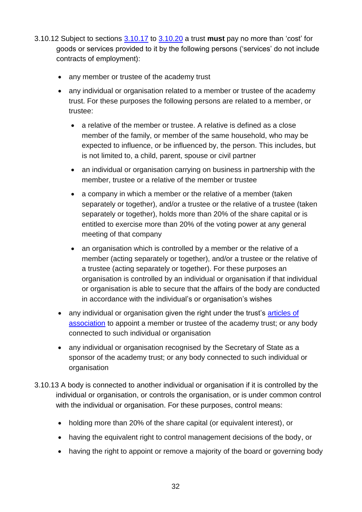- <span id="page-31-0"></span>3.10.12 Subject to sections 3.10.17 to [3.10.20](#page-32-0) a trust **must** pay no more than 'cost' for goods or services provided to it by the following persons ('services' do not include contracts of employment):
	- any member or trustee of the academy trust
	- any individual or organisation related to a member or trustee of the academy trust. For these purposes the following persons are related to a member, or trustee:
		- a relative of the member or trustee. A relative is defined as a close member of the family, or member of the same household, who may be expected to influence, or be influenced by, the person. This includes, but is not limited to, a child, parent, spouse or civil partner
		- an individual or organisation carrying on business in partnership with the member, trustee or a relative of the member or trustee
		- a company in which a member or the relative of a member (taken separately or together), and/or a trustee or the relative of a trustee (taken separately or together), holds more than 20% of the share capital or is entitled to exercise more than 20% of the voting power at any general meeting of that company
		- an organisation which is controlled by a member or the relative of a member (acting separately or together), and/or a trustee or the relative of a trustee (acting separately or together). For these purposes an organisation is controlled by an individual or organisation if that individual or organisation is able to secure that the affairs of the body are conducted in accordance with the individual's or organisation's wishes
	- any individual or organisation given the right under the trust's articles of [association](#page-40-6) to appoint a member or trustee of the academy trust; or any body connected to such individual or organisation
	- any individual or organisation recognised by the Secretary of State as a sponsor of the academy trust; or any body connected to such individual or organisation
- 3.10.13 A body is connected to another individual or organisation if it is controlled by the individual or organisation, or controls the organisation, or is under common control with the individual or organisation. For these purposes, control means:
	- holding more than 20% of the share capital (or equivalent interest), or
	- having the equivalent right to control management decisions of the body, or
	- having the right to appoint or remove a majority of the board or governing body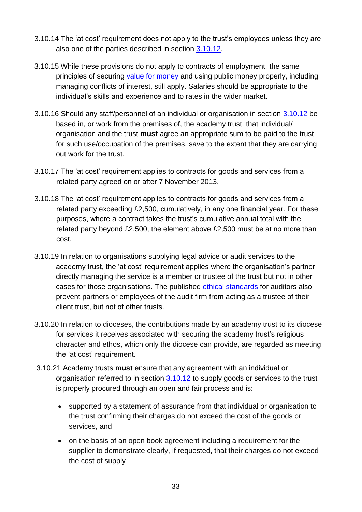- 3.10.14 The 'at cost' requirement does not apply to the trust's employees unless they are also one of the parties described in section [3.10.12.](#page-31-0)
- 3.10.15 While these provisions do not apply to contracts of employment, the same principles of securing [value for money](#page-42-0) and using public money properly, including managing conflicts of interest, still apply. Salaries should be appropriate to the individual's skills and experience and to rates in the wider market.
- 3.10.16 Should any staff/personnel of an individual or organisation in section [3.10.12](#page-31-0) be based in, or work from the premises of, the academy trust, that individual/ organisation and the trust **must** agree an appropriate sum to be paid to the trust for such use/occupation of the premises, save to the extent that they are carrying out work for the trust.
- 3.10.17 The 'at cost' requirement applies to contracts for goods and services from a related party agreed on or after 7 November 2013.
- 3.10.18 The 'at cost' requirement applies to contracts for goods and services from a related party exceeding £2,500, cumulatively, in any one financial year. For these purposes, where a contract takes the trust's cumulative annual total with the related party beyond £2,500, the element above £2,500 must be at no more than cost.
- 3.10.19 In relation to organisations supplying legal advice or audit services to the academy trust, the 'at cost' requirement applies where the organisation's partner directly managing the service is a member or trustee of the trust but not in other cases for those organisations. The published [ethical standards](https://www.frc.org.uk/auditors/audit-assurance/standards-and-guidance) for auditors also prevent partners or employees of the audit firm from acting as a trustee of their client trust, but not of other trusts.
- <span id="page-32-0"></span>3.10.20 In relation to dioceses, the contributions made by an academy trust to its diocese for services it receives associated with securing the academy trust's religious character and ethos, which only the diocese can provide, are regarded as meeting the 'at cost' requirement.
- 3.10.21 Academy trusts **must** ensure that any agreement with an individual or organisation referred to in section [3.10.12](#page-31-0) to supply goods or services to the trust is properly procured through an open and fair process and is:
	- supported by a statement of assurance from that individual or organisation to the trust confirming their charges do not exceed the cost of the goods or services, and
	- on the basis of an open book agreement including a requirement for the supplier to demonstrate clearly, if requested, that their charges do not exceed the cost of supply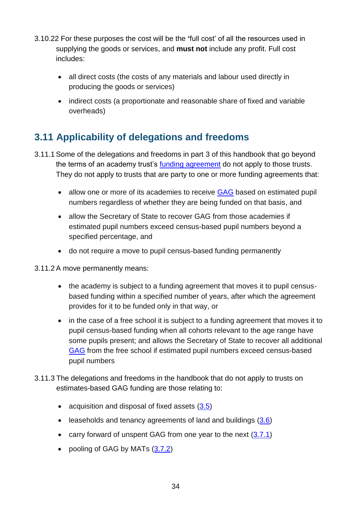- 3.10.22 For these purposes the cost will be the **'**full cost' of all the resources used in supplying the goods or services, and **must not** include any profit. Full cost includes:
	- all direct costs (the costs of any materials and labour used directly in producing the goods or services)
	- indirect costs (a proportionate and reasonable share of fixed and variable overheads)

### <span id="page-33-1"></span><span id="page-33-0"></span>**3.11 Applicability of delegations and freedoms**

- 3.11.1 Some of the delegations and freedoms in part 3 of this handbook that go beyond the terms of an academy trust's [funding agreement](#page-41-0) do not apply to those trusts. They do not apply to trusts that are party to one or more funding agreements that:
	- allow one or more of its academies to receive [GAG](#page-41-7) based on estimated pupil numbers regardless of whether they are being funded on that basis, and
	- allow the Secretary of State to recover GAG from those academies if estimated pupil numbers exceed census-based pupil numbers beyond a specified percentage, and
	- do not require a move to pupil census-based funding permanently
- 3.11.2 A move permanently means:
	- the academy is subject to a funding agreement that moves it to pupil censusbased funding within a specified number of years, after which the agreement provides for it to be funded only in that way, or
	- in the case of a free school it is subject to a funding agreement that moves it to pupil census-based funding when all cohorts relevant to the age range have some pupils present; and allows the Secretary of State to recover all additional [GAG](#page-41-7) from the free school if estimated pupil numbers exceed census-based pupil numbers
- 3.11.3 The delegations and freedoms in the handbook that do not apply to trusts on estimates-based GAG funding are those relating to:
	- acquisition and disposal of fixed assets  $(3.5)$
	- $\bullet$  leaseholds and tenancy agreements of land and buildings  $(3.6)$
	- carry forward of unspent GAG from one year to the next  $(3.7.1)$
	- pooling of GAG by MATs [\(3.7.2\)](#page-27-3)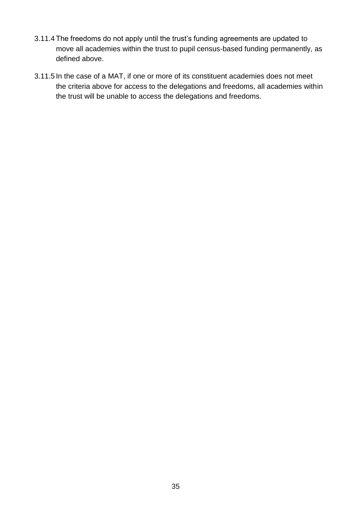- 3.11.4 The freedoms do not apply until the trust's funding agreements are updated to move all academies within the trust to pupil census-based funding permanently, as defined above.
- 3.11.5 In the case of a MAT, if one or more of its constituent academies does not meet the criteria above for access to the delegations and freedoms, all academies within the trust will be unable to access the delegations and freedoms.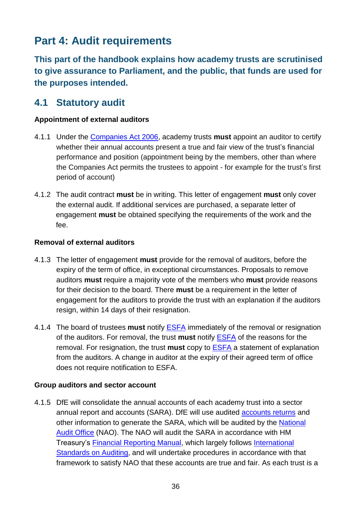# <span id="page-35-0"></span>**Part 4: Audit requirements**

**This part of the handbook explains how academy trusts are scrutinised to give assurance to Parliament, and the public, that funds are used for the purposes intended.**

### <span id="page-35-1"></span>**4.1 Statutory audit**

#### <span id="page-35-2"></span>**Appointment of external auditors**

- 4.1.1 Under the [Companies Act 2006,](http://www.legislation.gov.uk/ukpga/2006/46/part/16) academy trusts **must** appoint an auditor to certify whether their annual accounts present a true and fair view of the trust's financial performance and position (appointment being by the members, other than where the Companies Act permits the trustees to appoint - for example for the trust's first period of account)
- <span id="page-35-3"></span>4.1.2 The audit contract **must** be in writing. This letter of engagement **must** only cover the external audit. If additional services are purchased, a separate letter of engagement **must** be obtained specifying the requirements of the work and the fee.

#### **Removal of external auditors**

- <span id="page-35-4"></span>4.1.3 The letter of engagement **must** provide for the removal of auditors, before the expiry of the term of office, in exceptional circumstances. Proposals to remove auditors **must** require a majority vote of the members who **must** provide reasons for their decision to the board. There **must** be a requirement in the letter of engagement for the auditors to provide the trust with an explanation if the auditors resign, within 14 days of their resignation.
- <span id="page-35-5"></span>4.1.4 The board of trustees **must** notify [ESFA](http://www.education.gov.uk/kc-enquiry-form) immediately of the removal or resignation of the auditors. For removal, the trust **must** notify [ESFA](http://www.education.gov.uk/kc-enquiry-form) of the reasons for the removal. For resignation, the trust **must** copy to [ESFA](http://www.education.gov.uk/kc-enquiry-form) a statement of explanation from the auditors. A change in auditor at the expiry of their agreed term of office does not require notification to ESFA.

#### **Group auditors and sector account**

<span id="page-35-6"></span>4.1.5 DfE will consolidate the annual accounts of each academy trust into a sector annual report and accounts (SARA). DfE will use audited [accounts returns](#page-40-8) and other information to generate the SARA, which will be audited by the [National](http://www.nao.org.uk/)  [Audit Office](http://www.nao.org.uk/) (NAO). The NAO will audit the SARA in accordance with HM Treasury's [Financial Reporting Manual,](https://www.gov.uk/government/collections/government-financial-reporting-manual-frem) which largely follows [International](http://www.iasplus.com/en/resources/global-organisations/iaasb)  [Standards on Auditing,](http://www.iasplus.com/en/resources/global-organisations/iaasb) and will undertake procedures in accordance with that framework to satisfy NAO that these accounts are true and fair. As each trust is a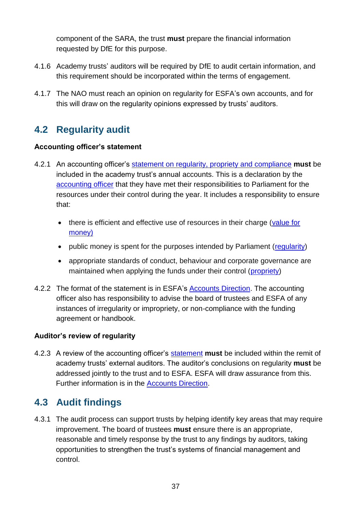component of the SARA, the trust **must** prepare the financial information requested by DfE for this purpose.

- 4.1.6 Academy trusts' auditors will be required by DfE to audit certain information, and this requirement should be incorporated within the terms of engagement.
- 4.1.7 The NAO must reach an opinion on regularity for ESFA's own accounts, and for this will draw on the regularity opinions expressed by trusts' auditors.

### <span id="page-36-0"></span>**4.2 Regularity audit**

#### **Accounting officer's statement**

- <span id="page-36-3"></span>4.2.1 An accounting officer's [statement on regularity, propriety and compliance](#page-40-5) **must** be included in the academy trust's annual accounts. This is a declaration by the [accounting officer](#page-40-1) that they have met their responsibilities to Parliament for the resources under their control during the year. It includes a responsibility to ensure that:
	- there is efficient and effective use of resources in their charge (value for [money\)](#page-42-0)
	- public money is spent for the purposes intended by Parliament [\(regularity\)](#page-42-1)
	- appropriate standards of conduct, behaviour and corporate governance are maintained when applying the funds under their control [\(propriety\)](#page-41-6)
- 4.2.2 The format of the statement is in ESFA's [Accounts Direction.](https://www.gov.uk/government/publications/academies-accounts-direction) The accounting officer also has responsibility to advise the board of trustees and ESFA of any instances of irregularity or impropriety, or non-compliance with the funding agreement or handbook.

#### **Auditor's review of regularity**

<span id="page-36-4"></span>4.2.3 A review of the accounting officer's [statement](#page-40-5) **must** be included within the remit of academy trusts' external auditors. The auditor's conclusions on regularity **must** be addressed jointly to the trust and to ESFA. ESFA will draw assurance from this. Further information is in the [Accounts Direction.](https://www.gov.uk/government/publications/academies-accounts-direction)

### <span id="page-36-1"></span>**4.3 Audit findings**

<span id="page-36-2"></span>4.3.1 The audit process can support trusts by helping identify key areas that may require improvement. The board of trustees **must** ensure there is an appropriate, reasonable and timely response by the trust to any findings by auditors, taking opportunities to strengthen the trust's systems of financial management and control.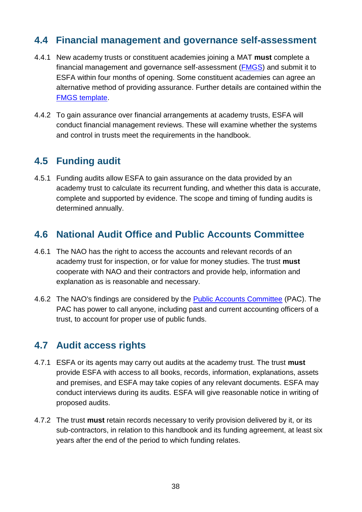### <span id="page-37-0"></span>**4.4 Financial management and governance self-assessment**

- <span id="page-37-4"></span>4.4.1 New academy trusts or constituent academies joining a MAT **must** complete a financial management and governance self-assessment [\(FMGS\)](#page-41-9) and submit it to ESFA within four months of opening. Some constituent academies can agree an alternative method of providing assurance. Further details are contained within the [FMGS template.](https://www.gov.uk/government/publications/academy-financial-management-and-governance-self-assessment-guidance)
- 4.4.2 To gain assurance over financial arrangements at academy trusts, ESFA will conduct financial management reviews. These will examine whether the systems and control in trusts meet the requirements in the handbook.

### <span id="page-37-1"></span>**4.5 Funding audit**

4.5.1 Funding audits allow ESFA to gain assurance on the data provided by an academy trust to calculate its recurrent funding, and whether this data is accurate, complete and supported by evidence. The scope and timing of funding audits is determined annually.

### <span id="page-37-2"></span>**4.6 National Audit Office and Public Accounts Committee**

- <span id="page-37-5"></span>4.6.1 The NAO has the right to access the accounts and relevant records of an academy trust for inspection, or for value for money studies. The trust **must** cooperate with NAO and their contractors and provide help, information and explanation as is reasonable and necessary.
- 4.6.2 The NAO's findings are considered by the [Public Accounts Committee](http://www.parliament.uk/business/committees/committees-a-z/commons-select/public-accounts-committee/role) (PAC). The PAC has power to call anyone, including past and current accounting officers of a trust, to account for proper use of public funds.

### <span id="page-37-3"></span>**4.7 Audit access rights**

- <span id="page-37-6"></span>4.7.1 ESFA or its agents may carry out audits at the academy trust. The trust **must** provide ESFA with access to all books, records, information, explanations, assets and premises, and ESFA may take copies of any relevant documents. ESFA may conduct interviews during its audits. ESFA will give reasonable notice in writing of proposed audits.
- <span id="page-37-7"></span>4.7.2 The trust **must** retain records necessary to verify provision delivered by it, or its sub-contractors, in relation to this handbook and its funding agreement, at least six years after the end of the period to which funding relates.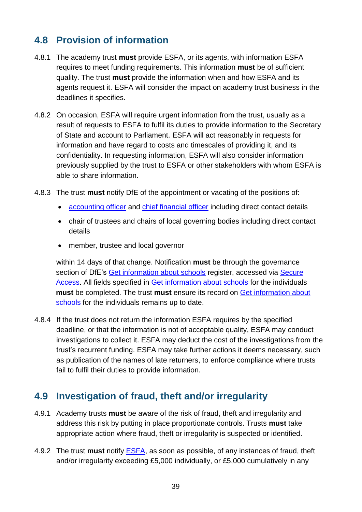### <span id="page-38-0"></span>**4.8 Provision of information**

- <span id="page-38-4"></span>4.8.1 The academy trust **must** provide ESFA, or its agents, with information ESFA requires to meet funding requirements. This information **must** be of sufficient quality. The trust **must** provide the information when and how ESFA and its agents request it. ESFA will consider the impact on academy trust business in the deadlines it specifies.
- 4.8.2 On occasion, ESFA will require urgent information from the trust, usually as a result of requests to ESFA to fulfil its duties to provide information to the Secretary of State and account to Parliament. ESFA will act reasonably in requests for information and have regard to costs and timescales of providing it, and its confidentiality. In requesting information, ESFA will also consider information previously supplied by the trust to ESFA or other stakeholders with whom ESFA is able to share information.
- <span id="page-38-5"></span>4.8.3 The trust **must** notify DfE of the appointment or vacating of the positions of:
	- [accounting officer](#page-40-1) and [chief financial officer](#page-40-2) including direct contact details
	- chair of trustees and chairs of local governing bodies including direct contact details
	- member, trustee and local governor

within 14 days of that change. Notification **must** be through the governance section of DfE's [Get information about schools](https://get-information-schools.service.gov.uk/) register, accessed via [Secure](https://sa.education.gov.uk/idp/Authn/UserPassword)  [Access.](https://sa.education.gov.uk/idp/Authn/UserPassword) All fields specified in [Get information about schools](https://get-information-schools.service.gov.uk/) for the individuals **must** be completed. The trust **must** ensure its record on [Get information about](https://get-information-schools.service.gov.uk/)  [schools](https://get-information-schools.service.gov.uk/) for the individuals remains up to date.

<span id="page-38-2"></span>4.8.4 If the trust does not return the information ESFA requires by the specified deadline, or that the information is not of acceptable quality, ESFA may conduct investigations to collect it. ESFA may deduct the cost of the investigations from the trust's recurrent funding. ESFA may take further actions it deems necessary, such as publication of the names of late returners, to enforce compliance where trusts fail to fulfil their duties to provide information.

### <span id="page-38-1"></span>**4.9 Investigation of fraud, theft and/or irregularity**

- <span id="page-38-6"></span><span id="page-38-3"></span>4.9.1 Academy trusts **must** be aware of the risk of fraud, theft and irregularity and address this risk by putting in place proportionate controls. Trusts **must** take appropriate action where fraud, theft or irregularity is suspected or identified.
- <span id="page-38-7"></span>4.9.2 The trust **must** notify [ESFA,](http://www.education.gov.uk/kc-enquiry-form) as soon as possible, of any instances of fraud, theft and/or irregularity exceeding £5,000 individually, or £5,000 cumulatively in any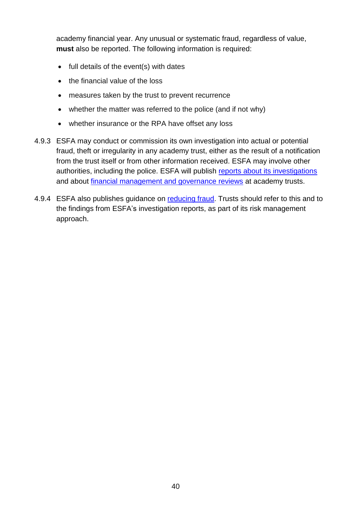academy financial year. Any unusual or systematic fraud, regardless of value, **must** also be reported. The following information is required:

- full details of the event(s) with dates
- the financial value of the loss
- measures taken by the trust to prevent recurrence
- whether the matter was referred to the police (and if not why)
- whether insurance or the RPA have offset any loss
- 4.9.3 ESFA may conduct or commission its own investigation into actual or potential fraud, theft or irregularity in any academy trust, either as the result of a notification from the trust itself or from other information received. ESFA may involve other authorities, including the police. ESFA will publish reports about [its investigations](https://www.gov.uk/government/collections/academies-investigation-reports) and about [financial management and governance reviews](https://www.gov.uk/government/collections/academies-financial-management-and-governance-reviews) at academy trusts.
- 4.9.4 ESFA also publishes guidance on [reducing fraud.](https://www.gov.uk/guidance/academies-guide-to-reducing-any-risk-of-financial-irregularities) Trusts should refer to this and to the findings from ESFA's investigation reports, as part of its risk management approach.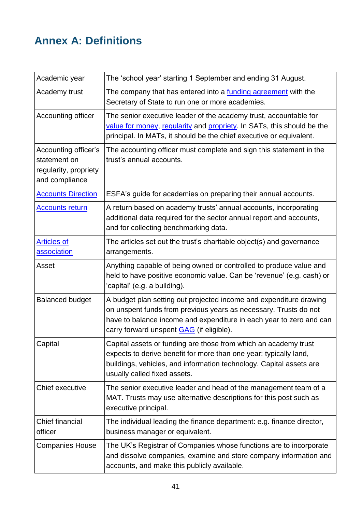# <span id="page-40-4"></span><span id="page-40-0"></span>**Annex A: Definitions**

<span id="page-40-8"></span><span id="page-40-7"></span><span id="page-40-6"></span><span id="page-40-5"></span><span id="page-40-3"></span><span id="page-40-2"></span><span id="page-40-1"></span>

| Academic year                                                                   | The 'school year' starting 1 September and ending 31 August.                                                                                                                                                                                                     |
|---------------------------------------------------------------------------------|------------------------------------------------------------------------------------------------------------------------------------------------------------------------------------------------------------------------------------------------------------------|
| Academy trust                                                                   | The company that has entered into a <i>funding agreement</i> with the<br>Secretary of State to run one or more academies.                                                                                                                                        |
| Accounting officer                                                              | The senior executive leader of the academy trust, accountable for<br>value for money, regularity and propriety. In SATs, this should be the<br>principal. In MATs, it should be the chief executive or equivalent.                                               |
| Accounting officer's<br>statement on<br>regularity, propriety<br>and compliance | The accounting officer must complete and sign this statement in the<br>trust's annual accounts.                                                                                                                                                                  |
| <b>Accounts Direction</b>                                                       | ESFA's guide for academies on preparing their annual accounts.                                                                                                                                                                                                   |
| <b>Accounts return</b>                                                          | A return based on academy trusts' annual accounts, incorporating<br>additional data required for the sector annual report and accounts,<br>and for collecting benchmarking data.                                                                                 |
| <b>Articles of</b><br>association                                               | The articles set out the trust's charitable object(s) and governance<br>arrangements.                                                                                                                                                                            |
| Asset                                                                           | Anything capable of being owned or controlled to produce value and<br>held to have positive economic value. Can be 'revenue' (e.g. cash) or<br>'capital' (e.g. a building).                                                                                      |
| <b>Balanced budget</b>                                                          | A budget plan setting out projected income and expenditure drawing<br>on unspent funds from previous years as necessary. Trusts do not<br>have to balance income and expenditure in each year to zero and can<br>carry forward unspent <b>GAG</b> (if eligible). |
| Capital                                                                         | Capital assets or funding are those from which an academy trust<br>expects to derive benefit for more than one year: typically land,<br>buildings, vehicles, and information technology. Capital assets are<br>usually called fixed assets.                      |
| Chief executive                                                                 | The senior executive leader and head of the management team of a<br>MAT. Trusts may use alternative descriptions for this post such as<br>executive principal.                                                                                                   |
| <b>Chief financial</b><br>officer                                               | The individual leading the finance department: e.g. finance director,<br>business manager or equivalent.                                                                                                                                                         |
| <b>Companies House</b>                                                          | The UK's Registrar of Companies whose functions are to incorporate<br>and dissolve companies, examine and store company information and<br>accounts, and make this publicly available.                                                                           |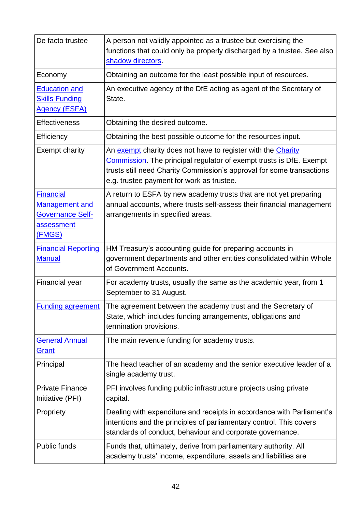<span id="page-41-9"></span><span id="page-41-8"></span><span id="page-41-7"></span><span id="page-41-6"></span><span id="page-41-5"></span><span id="page-41-4"></span><span id="page-41-3"></span><span id="page-41-2"></span><span id="page-41-1"></span><span id="page-41-0"></span>

| De facto trustee                                                                                    | A person not validly appointed as a trustee but exercising the<br>functions that could only be properly discharged by a trustee. See also<br>shadow directors.                                                                                            |
|-----------------------------------------------------------------------------------------------------|-----------------------------------------------------------------------------------------------------------------------------------------------------------------------------------------------------------------------------------------------------------|
| Economy                                                                                             | Obtaining an outcome for the least possible input of resources.                                                                                                                                                                                           |
| <b>Education and</b><br><b>Skills Funding</b><br><b>Agency (ESFA)</b>                               | An executive agency of the DfE acting as agent of the Secretary of<br>State.                                                                                                                                                                              |
| <b>Effectiveness</b>                                                                                | Obtaining the desired outcome.                                                                                                                                                                                                                            |
| Efficiency                                                                                          | Obtaining the best possible outcome for the resources input.                                                                                                                                                                                              |
| <b>Exempt charity</b>                                                                               | An exempt charity does not have to register with the Charity<br>Commission. The principal regulator of exempt trusts is DfE. Exempt<br>trusts still need Charity Commission's approval for some transactions<br>e.g. trustee payment for work as trustee. |
| <b>Financial</b><br><b>Management and</b><br><b>Governance Self-</b><br>assessment<br><u>(FMGS)</u> | A return to ESFA by new academy trusts that are not yet preparing<br>annual accounts, where trusts self-assess their financial management<br>arrangements in specified areas.                                                                             |
| <b>Financial Reporting</b><br><b>Manual</b>                                                         | HM Treasury's accounting guide for preparing accounts in<br>government departments and other entities consolidated within Whole<br>of Government Accounts.                                                                                                |
| <b>Financial year</b>                                                                               | For academy trusts, usually the same as the academic year, from 1<br>September to 31 August.                                                                                                                                                              |
| <b>Funding agreement</b>                                                                            | The agreement between the academy trust and the Secretary of<br>State, which includes funding arrangements, obligations and<br>termination provisions.                                                                                                    |
| <b>General Annual</b><br>Grant                                                                      | The main revenue funding for academy trusts.                                                                                                                                                                                                              |
| Principal                                                                                           | The head teacher of an academy and the senior executive leader of a<br>single academy trust.                                                                                                                                                              |
| <b>Private Finance</b><br>Initiative (PFI)                                                          | PFI involves funding public infrastructure projects using private<br>capital.                                                                                                                                                                             |
| Propriety                                                                                           | Dealing with expenditure and receipts in accordance with Parliament's<br>intentions and the principles of parliamentary control. This covers<br>standards of conduct, behaviour and corporate governance.                                                 |
| Public funds                                                                                        | Funds that, ultimately, derive from parliamentary authority. All<br>academy trusts' income, expenditure, assets and liabilities are                                                                                                                       |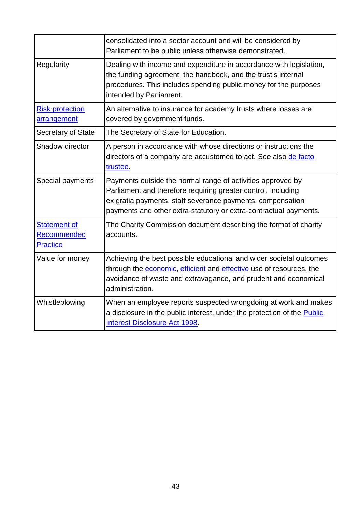<span id="page-42-3"></span><span id="page-42-2"></span><span id="page-42-1"></span><span id="page-42-0"></span>

|                                                              | consolidated into a sector account and will be considered by<br>Parliament to be public unless otherwise demonstrated.                                                                                                                                          |
|--------------------------------------------------------------|-----------------------------------------------------------------------------------------------------------------------------------------------------------------------------------------------------------------------------------------------------------------|
| Regularity                                                   | Dealing with income and expenditure in accordance with legislation,<br>the funding agreement, the handbook, and the trust's internal<br>procedures. This includes spending public money for the purposes<br>intended by Parliament.                             |
| <b>Risk protection</b><br>arrangement                        | An alternative to insurance for academy trusts where losses are<br>covered by government funds.                                                                                                                                                                 |
| Secretary of State                                           | The Secretary of State for Education.                                                                                                                                                                                                                           |
| Shadow director                                              | A person in accordance with whose directions or instructions the<br>directors of a company are accustomed to act. See also de facto<br>trustee.                                                                                                                 |
| Special payments                                             | Payments outside the normal range of activities approved by<br>Parliament and therefore requiring greater control, including<br>ex gratia payments, staff severance payments, compensation<br>payments and other extra-statutory or extra-contractual payments. |
| <b>Statement of</b><br><b>Recommended</b><br><b>Practice</b> | The Charity Commission document describing the format of charity<br>accounts.                                                                                                                                                                                   |
| Value for money                                              | Achieving the best possible educational and wider societal outcomes<br>through the economic, efficient and effective use of resources, the<br>avoidance of waste and extravagance, and prudent and economical<br>administration.                                |
| Whistleblowing                                               | When an employee reports suspected wrongdoing at work and makes<br>a disclosure in the public interest, under the protection of the Public<br>Interest Disclosure Act 1998.                                                                                     |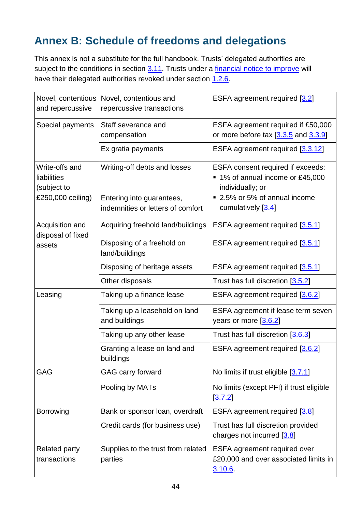# <span id="page-43-0"></span>**Annex B: Schedule of freedoms and delegations**

This annex is not a substitute for the full handbook. Trusts' delegated authorities are subject to the conditions in section [3.11.](#page-33-1) Trusts under a [financial notice to improve](https://www.gov.uk/government/collections/academies-financial-notices-to-improve) will have their delegated authorities revoked under section [1.2.6.](#page-8-2)

| Novel, contentious<br>and repercussive       | Novel, contentious and<br>repercussive transactions            | ESFA agreement required [3.2]                                                                    |
|----------------------------------------------|----------------------------------------------------------------|--------------------------------------------------------------------------------------------------|
| Special payments                             | Staff severance and<br>compensation                            | ESFA agreement required if £50,000<br>or more before tax $[3.3.5]$ and $[3.3.9]$                 |
|                                              | Ex gratia payments                                             | ESFA agreement required [3.3.12]                                                                 |
| Write-offs and<br>liabilities<br>(subject to | Writing-off debts and losses                                   | <b>ESFA</b> consent required if exceeds:<br>■ 1% of annual income or £45,000<br>individually; or |
| £250,000 ceiling)                            | Entering into guarantees,<br>indemnities or letters of comfort | 2.5% or 5% of annual income<br>cumulatively [3.4]                                                |
| Acquisition and<br>disposal of fixed         | Acquiring freehold land/buildings                              | ESFA agreement required [3.5.1]                                                                  |
| assets                                       | Disposing of a freehold on<br>land/buildings                   | ESFA agreement required [3.5.1]                                                                  |
|                                              | Disposing of heritage assets                                   | ESFA agreement required [3.5.1]                                                                  |
|                                              | Other disposals                                                | Trust has full discretion [3.5.2]                                                                |
| Leasing                                      | Taking up a finance lease                                      | ESFA agreement required [3.6.2]                                                                  |
|                                              | Taking up a leasehold on land<br>and buildings                 | ESFA agreement if lease term seven<br>years or more [3.6.2]                                      |
|                                              | Taking up any other lease                                      | Trust has full discretion [3.6.3]                                                                |
|                                              | Granting a lease on land and<br>buildings                      | ESFA agreement required [3.6.2]                                                                  |
| <b>GAG</b>                                   | <b>GAG carry forward</b>                                       | No limits if trust eligible [3.7.1]                                                              |
|                                              | Pooling by MATs                                                | No limits (except PFI) if trust eligible<br>[3.7.2]                                              |
| <b>Borrowing</b>                             | Bank or sponsor loan, overdraft                                | ESFA agreement required [3.8]                                                                    |
|                                              | Credit cards (for business use)                                | Trust has full discretion provided<br>charges not incurred $[3.8]$                               |
| <b>Related party</b><br>transactions         | Supplies to the trust from related<br>parties                  | <b>ESFA</b> agreement required over<br>£20,000 and over associated limits in<br>3.10.6           |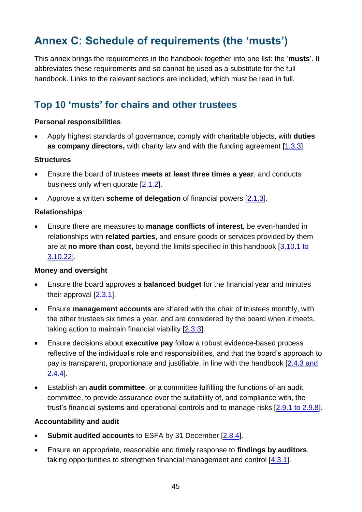# <span id="page-44-0"></span>**Annex C: Schedule of requirements (the 'musts')**

This annex brings the requirements in the handbook together into one list: the '**musts**'. It abbreviates these requirements and so cannot be used as a substitute for the full handbook. Links to the relevant sections are included, which must be read in full.

### **Top 10 'musts' for chairs and other trustees**

#### **Personal responsibilities**

 Apply highest standards of governance, comply with charitable objects, with **duties as company directors,** with charity law and with the funding agreement [\[1.3.3\]](#page-9-2).

#### **Structures**

- Ensure the board of trustees **meets at least three times a year**, and conducts business only when quorate [\[2.1.2\]](#page-14-5).
- Approve a written **scheme of delegation** of financial powers [\[2.1.3\]](#page-14-6).

#### **Relationships**

 Ensure there are measures to **manage conflicts of interest,** be even-handed in relationships with **related parties**, and ensure goods or services provided by them are at **no more than cost,** beyond the limits specified in this handbook [\[3.10.1 to](#page-28-1)  [3.10.22\]](#page-28-1).

#### **Money and oversight**

- Ensure the board approves a **balanced budget** for the financial year and minutes their approval [\[2.3.1\]](#page-15-3).
- Ensure **management accounts** are shared with the chair of trustees monthly, with the other trustees six times a year, and are considered by the board when it meets, taking action to maintain financial viability [\[2.3.3\]](#page-15-4).
- Ensure decisions about **executive pay** follow a robust evidence-based process reflective of the individual's role and responsibilities, and that the board's approach to pay is transparent, proportionate and justifiable, in line with the handbook [\[2.4.3 and](#page-17-3)  [2.4.4\]](#page-17-3).
- Establish an **audit committee**, or a committee fulfilling the functions of an audit committee, to provide assurance over the suitability of, and compliance with, the trust's financial systems and operational controls and to manage risks [\[2.9.1 to 2.9.8\]](#page-20-1).

#### **Accountability and audit**

- **Submit audited accounts** to ESFA by 31 December [\[2.8.4\]](#page-19-4).
- Ensure an appropriate, reasonable and timely response to **findings by auditors**, taking opportunities to strengthen financial management and control [\[4.3.1\]](#page-36-2).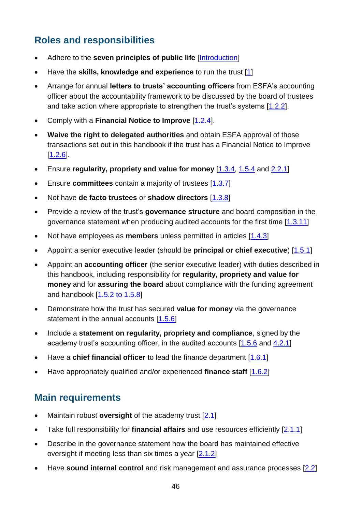# **Roles and responsibilities**

- Adhere to the **seven principles of public life** [\[Introduction\]](#page-5-2)
- Have the **skills, knowledge and experience** to run the trust [\[1\]](#page-7-3)
- Arrange for annual **letters to trusts' accounting officers** from ESFA's accounting officer about the accountability framework to be discussed by the board of trustees and take action where appropriate to strengthen the trust's systems [\[1.2.2\]](#page-7-4).
- Comply with a **Financial Notice to Improve** [\[1.2.4\]](#page-7-5).
- **Waive the right to delegated authorities** and obtain ESFA approval of those transactions set out in this handbook if the trust has a Financial Notice to Improve  $[1.2.6]$ .
- Ensure **regularity, propriety and value for money** [\[1.3.4,](#page-9-3) [1.5.4](#page-12-0) and [2.2.1\]](#page-15-5)
- Ensure **committees** contain a majority of trustees [\[1.3.7\]](#page-10-2)
- Not have **de facto trustees** or **shadow directors** [\[1.3.8\]](#page-10-3)
- Provide a review of the trust's **governance structure** and board composition in the governance statement when producing audited accounts for the first time [\[1.3.11\]](#page-10-4)
- Not have employees as **members** unless permitted in articles [\[1.4.3\]](#page-11-2)
- Appoint a senior executive leader (should be **principal or chief executive**) [\[1.5.1\]](#page-11-1)
- Appoint an **accounting officer** (the senior executive leader) with duties described in this handbook, including responsibility for **regularity, propriety and value for money** and for **assuring the board** about compliance with the funding agreement and handbook [\[1.5.2 to 1.5.8\]](#page-11-0)
- Demonstrate how the trust has secured **value for money** via the governance statement in the annual accounts [\[1.5.6\]](#page-12-1)
- Include a **statement on regularity, propriety and compliance**, signed by the academy trust's accounting officer, in the audited accounts [\[1.5.6](#page-12-1) and [4.2.1\]](#page-36-3)
- Have a **chief financial officer** to lead the finance department [\[1.6.1\]](#page-13-1)
- Have appropriately qualified and/or experienced **finance staff** [\[1.6.2\]](#page-13-2)

### **Main requirements**

- Maintain robust **oversight** of the academy trust [\[2.1\]](#page-14-7)
- Take full responsibility for **financial affairs** and use resources efficiently [\[2.1.1\]](#page-14-8)
- Describe in the governance statement how the board has maintained effective oversight if meeting less than six times a year [\[2.1.2\]](#page-14-9)
- Have **sound internal control** and risk management and assurance processes [\[2.2\]](#page-14-10)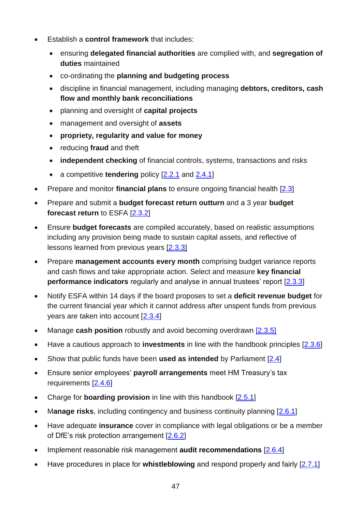- Establish a **control framework** that includes:
	- ensuring **delegated financial authorities** are complied with, and **segregation of duties** maintained
	- co-ordinating the **planning and budgeting process**
	- discipline in financial management, including managing **debtors, creditors, cash flow and monthly bank reconciliations**
	- planning and oversight of **capital projects**
	- management and oversight of **assets**
	- **propriety, regularity and value for money**
	- reducing **fraud** and theft
	- **independent checking** of financial controls, systems, transactions and risks
	- a competitive **tendering** policy [\[2.2.1](#page-14-4) and [2.4.1\]](#page-17-4)
- Prepare and monitor **financial plans** to ensure ongoing financial health [\[2.3\]](#page-15-6)
- Prepare and submit a **budget forecast return outturn** and a 3 year **budget forecast return** to ESFA [\[2.3.2\]](#page-15-7)
- Ensure **budget forecasts** are compiled accurately, based on realistic assumptions including any provision being made to sustain capital assets, and reflective of lessons learned from previous years [\[2.3.3\]](#page-15-4)
- Prepare **management accounts every month** comprising budget variance reports and cash flows and take appropriate action. Select and measure **key financial performance indicators** regularly and analyse in annual trustees' report [\[2.3.3\]](#page-15-4)
- Notify ESFA within 14 days if the board proposes to set a **deficit revenue budget** for the current financial year which it cannot address after unspent funds from previous years are taken into account [\[2.3.4\]](#page-16-1)
- Manage **cash position** robustly and avoid becoming overdrawn [\[2.3.5\]](#page-16-0)
- Have a cautious approach to **investments** in line with the handbook principles [\[2.3.6\]](#page-16-2)
- Show that public funds have been **used as intended** by Parliament [\[2.4\]](#page-17-5)
- Ensure senior employees' **payroll arrangements** meet HM Treasury's tax requirements [\[2.4.6\]](#page-18-3)
- Charge for **boarding provision** in line with this handbook [\[2.5.1\]](#page-18-4)
- Manage risks, including contingency and business continuity planning [\[2.6.1\]](#page-18-5)
- Have adequate **insurance** cover in compliance with legal obligations or be a member of DfE's risk protection arrangement [\[2.6.2\]](#page-18-6)
- Implement reasonable risk management **audit recommendations** [\[2.6.4\]](#page-19-5)
- Have procedures in place for **whistleblowing** and respond properly and fairly [\[2.7.1\]](#page-19-3)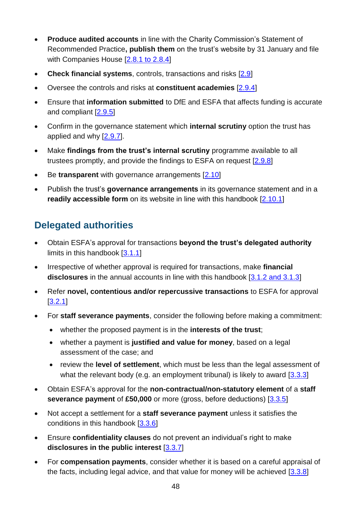- **Produce audited accounts** in line with the Charity Commission's Statement of Recommended Practice**, publish them** on the trust's website by 31 January and file with Companies House [\[2.8.1 to 2.8.4\]](#page-19-6)
- **Check financial systems**, controls, transactions and risks [\[2.9\]](#page-19-7)
- Oversee the controls and risks at **constituent academies** [\[2.9.4\]](#page-20-2)
- Ensure that **information submitted** to DfE and ESFA that affects funding is accurate and compliant [\[2.9.5\]](#page-20-3)
- Confirm in the governance statement which **internal scrutiny** option the trust has applied and why  $[2.9.7]$ .
- Make **findings from the trust's internal scrutiny** programme available to all trustees promptly, and provide the findings to ESFA on request [\[2.9.8\]](#page-21-1)
- **Be transparent** with governance arrangements [\[2.10\]](#page-21-2)
- Publish the trust's **governance arrangements** in its governance statement and in a **readily accessible form** on its website in line with this handbook [\[2.10.1\]](#page-21-3)

### **Delegated authorities**

- Obtain ESFA's approval for transactions **beyond the trust's delegated authority** limits in this handbook [\[3.1.1\]](#page-22-3)
- Irrespective of whether approval is required for transactions, make **financial disclosures** in the annual accounts in line with this handbook [\[3.1.2 and 3.1.3\]](#page-22-4)
- Refer **novel, contentious and/or repercussive transactions** to ESFA for approval  $[3.2.1]$
- For **staff severance payments**, consider the following before making a commitment:
	- whether the proposed payment is in the **interests of the trust**;
	- whether a payment is **justified and value for money**, based on a legal assessment of the case; and
	- review the **level of settlement**, which must be less than the legal assessment of what the relevant body (e.g. an employment tribunal) is likely to award  $[3.3.3]$
- Obtain ESFA's approval for the **non-contractual/non-statutory element** of a **staff severance payment** of **£50,000** or more (gross, before deductions) [\[3.3.5\]](#page-24-1)
- Not accept a settlement for a **staff severance payment** unless it satisfies the conditions in this handbook [\[3.3.6\]](#page-24-3)
- Ensure **confidentiality clauses** do not prevent an individual's right to make **disclosures in the public interest** [\[3.3.7\]](#page-24-4)
- For **compensation payments**, consider whether it is based on a careful appraisal of the facts, including legal advice, and that value for money will be achieved  $[3.3.8]$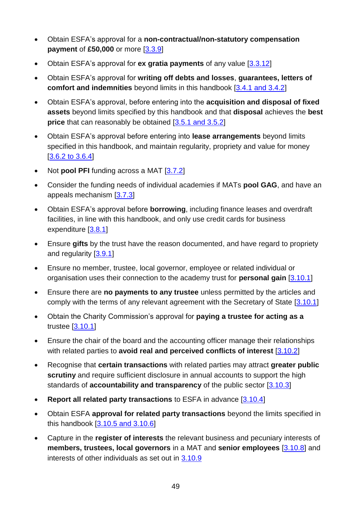- Obtain ESFA's approval for a **non-contractual/non-statutory compensation payment** of £50,000 or more [\[3.3.9\]](#page-24-2)
- Obtain ESFA's approval for **ex gratia payments** of any value [\[3.3.12\]](#page-25-3)
- Obtain ESFA's approval for **writing off debts and losses**, **guarantees, letters of comfort and indemnities** beyond limits in this handbook [\[3.4.1 and 3.4.2\]](#page-25-2)
- Obtain ESFA's approval, before entering into the **acquisition and disposal of fixed assets** beyond limits specified by this handbook and that **disposal** achieves the **best price** that can reasonably be obtained [\[3.5.1 and 3.5.2\]](#page-26-2)
- Obtain ESFA's approval before entering into **lease arrangements** beyond limits specified in this handbook, and maintain regularity, propriety and value for money [\[3.6.2 to 3.6.4\]](#page-26-3)
- Not **pool PFI** funding across a MAT [\[3.7.2\]](#page-27-3)
- Consider the funding needs of individual academies if MATs **pool GAG**, and have an appeals mechanism [\[3.7.3\]](#page-27-6)
- Obtain ESFA's approval before **borrowing**, including finance leases and overdraft facilities, in line with this handbook, and only use credit cards for business expenditure [\[3.8.1\]](#page-27-7)
- Ensure **gifts** by the trust have the reason documented, and have regard to propriety and regularity [\[3.9.1\]](#page-28-2)
- Ensure no member, trustee, local governor, employee or related individual or organisation uses their connection to the academy trust for **personal gain** [\[3.10.1\]](#page-28-3)
- Ensure there are **no payments to any trustee** unless permitted by the articles and comply with the terms of any relevant agreement with the Secretary of State [\[3.10.1\]](#page-28-3)
- Obtain the Charity Commission's approval for **paying a trustee for acting as a**  trustee  $[3.10.1]$
- Ensure the chair of the board and the accounting officer manage their relationships with related parties to **avoid real and perceived conflicts of interest** [\[3.10.2\]](#page-29-1)
- Recognise that **certain transactions** with related parties may attract **greater public scrutiny** and require sufficient disclosure in annual accounts to support the high standards of **accountability and transparency** of the public sector [\[3.10.3\]](#page-29-2)
- **Report all related party transactions** to ESFA in advance [\[3.10.4\]](#page-29-0)
- Obtain ESFA **approval for related party transactions** beyond the limits specified in this handbook [\[3.10.5 and 3.10.6\]](#page-29-3)
- Capture in the **register of interests** the relevant business and pecuniary interests of **members, trustees, local governors** in a MAT and **senior employees** [\[3.10.8\]](#page-30-0) and interests of other individuals as set out in [3.10.9](#page-30-2)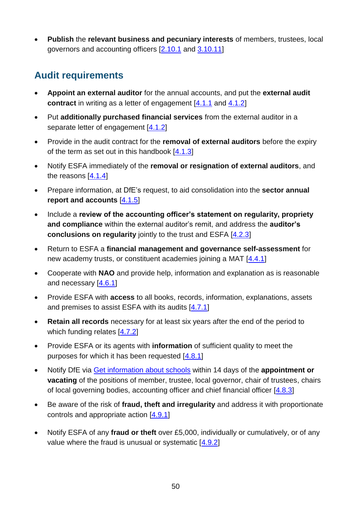**Publish** the **relevant business and pecuniary interests** of members, trustees, local governors and accounting officers [\[2.10.1](#page-21-4) and [3.10.11\]](#page-30-3)

### **Audit requirements**

- **Appoint an external auditor** for the annual accounts, and put the **external audit contract** in writing as a letter of engagement [\[4.1.1](#page-35-2) and [4.1.2\]](#page-35-3)
- Put **additionally purchased financial services** from the external auditor in a separate letter of engagement [\[4.1.2\]](#page-35-3)
- Provide in the audit contract for the **removal of external auditors** before the expiry of the term as set out in this handbook [\[4.1.3\]](#page-35-4)
- Notify ESFA immediately of the **removal or resignation of external auditors**, and the reasons [\[4.1.4\]](#page-35-5)
- Prepare information, at DfE's request, to aid consolidation into the **sector annual report and accounts** [\[4.1.5\]](#page-35-6)
- Include a **review of the accounting officer's statement on regularity, propriety and compliance** within the external auditor's remit, and address the **auditor's conclusions on regularity** jointly to the trust and ESFA [\[4.2.3\]](#page-36-4)
- Return to ESFA a **financial management and governance self-assessment** for new academy trusts, or constituent academies joining a MAT [\[4.4.1\]](#page-37-4)
- Cooperate with **NAO** and provide help, information and explanation as is reasonable and necessary [\[4.6.1\]](#page-37-5)
- Provide ESFA with **access** to all books, records, information, explanations, assets and premises to assist ESFA with its audits [\[4.7.1\]](#page-37-6)
- **Retain all records** necessary for at least six years after the end of the period to which funding relates [\[4.7.2\]](#page-37-7)
- Provide ESFA or its agents with **information** of sufficient quality to meet the purposes for which it has been requested [\[4.8.1\]](#page-38-4)
- Notify DfE via [Get information about schools](https://get-information-schools.service.gov.uk/) within 14 days of the **appointment or vacating** of the positions of member, trustee, local governor, chair of trustees, chairs of local governing bodies, accounting officer and chief financial officer [\[4.8.3\]](#page-38-5)
- Be aware of the risk of **fraud, theft and irregularity** and address it with proportionate controls and appropriate action [\[4.9.1\]](#page-38-6)
- Notify ESFA of any **fraud or theft** over £5,000, individually or cumulatively, or of any value where the fraud is unusual or systematic [\[4.9.2\]](#page-38-7)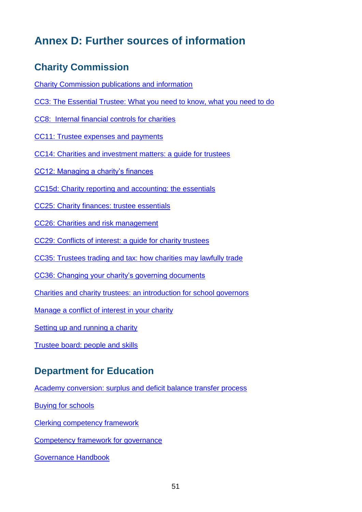# <span id="page-50-1"></span><span id="page-50-0"></span>**Annex D: Further sources of information**

### **Charity Commission**

[Charity Commission publications and information](https://www.gov.uk/government/organisations/charity-commission/about/publication-scheme)

[CC3: The Essential Trustee: What you need to know, what you need to do](https://www.gov.uk/government/publications/the-essential-trustee-what-you-need-to-know-cc3)

[CC8: Internal financial controls for charities](https://www.gov.uk/government/publications/internal-financial-controls-for-charities-cc8)

[CC11: Trustee expenses and payments](https://www.gov.uk/government/publications/trustee-expenses-and-payments-cc11)

[CC14: Charities and investment matters: a guide for trustees](https://www.gov.uk/government/publications/charities-and-investment-matters-a-guide-for-trustees-cc14)

[CC12: Managing a charity's finances](https://www.gov.uk/government/publications/managing-financial-difficulties-insolvency-in-charities-cc12/managing-financial-difficulties-insolvency-in-charities)

[CC15d: Charity reporting and accounting: the essentials](https://www.gov.uk/government/publications/charity-reporting-and-accounting-the-essentials-november-2016-cc15d)

[CC25: Charity finances: trustee essentials](https://www.gov.uk/government/publications/managing-charity-assets-and-resources-cc25)

[CC26: Charities and risk management](https://www.gov.uk/government/publications/charities-and-risk-management-cc26)

[CC29: Conflicts of interest: a guide for charity trustees](https://www.gov.uk/government/publications/conflicts-of-interest-a-guide-for-charity-trustees-cc29)

[CC35: Trustees trading and tax: how charities may lawfully trade](https://www.gov.uk/government/publications/trustees-trading-and-tax-how-charities-may-lawfully-trade-cc35)

[CC36: Changing your charity's governing documents](https://www.gov.uk/government/publications/changing-your-charitys-governing-document-cc36)

[Charities and charity trustees: an introduction for school governors](https://www.gov.uk/government/publications/charities-and-charity-trustees-school-governors)

[Manage a conflict of interest in your charity](https://www.gov.uk/guidance/manage-a-conflict-of-interest-in-your-charity)

[Setting up and running a charity](https://www.gov.uk/running-charity)

[Trustee board: people and skills](https://www.gov.uk/guidance/trustee-board-people-and-skills)

### **Department for Education**

[Academy conversion: surplus and deficit](https://www.gov.uk/government/publications/academy-conversion-surplus-and-deficit-balance-transfer-process) balance transfer process

[Buying for schools](https://www.gov.uk/guidance/buying-for-schools)

[Clerking competency framework](https://www.gov.uk/government/publications/governance-handbook)

[Competency framework for governance](https://www.gov.uk/government/publications/governance-handbook)

[Governance Handbook](https://www.gov.uk/government/publications/governance-handbook)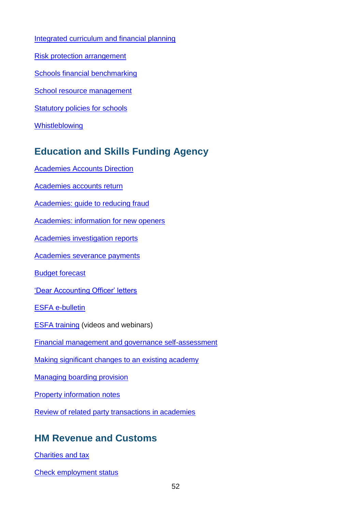[Integrated curriculum and financial planning](https://www.gov.uk/guidance/improving-financial-efficiency-with-curriculum-planning)

- [Risk protection arrangement](https://www.gov.uk/academies-risk-protection-arrangement-rpa)
- [Schools financial benchmarking](http://www.education.gov.uk/afb)
- [School resource management](https://www.gov.uk/government/collections/schools-financial-health-and-efficiency)
- [Statutory policies for schools](https://www.gov.uk/government/uploads/system/uploads/attachment_data/file/357068/statutory_schools_policies_Sept_14_FINAL.pdf)
- [Whistleblowing](https://www.gov.uk/whistleblowing)

### **Education and Skills Funding Agency**

- [Academies Accounts Direction](https://www.gov.uk/government/publications/academies-accounts-direction)
- [Academies accounts return](https://www.gov.uk/government/publications/academies-august-accounts-return-template-and-guide)
- [Academies: guide to reducing fraud](https://www.gov.uk/guidance/academies-guide-to-reducing-any-risk-of-financial-irregularities)
- [Academies: information for new openers](https://www.gov.uk/information-for-new-academies)
- [Academies investigation reports](https://www.gov.uk/government/collections/academies-investigation-reports)
- [Academies severance payments](https://www.gov.uk/academies-severance-payments)
- [Budget forecast](https://www.gov.uk/academies-financial-returns)
- ['Dear Accounting Officer' letters](https://www.gov.uk/government/collections/academy-trust-accounting-officer-letters-from-efa)
- ESFA [e-bulletin](https://www.gov.uk/government/collections/efa-e-bulletin)
- **ESFA [training](https://www.youtube.com/channel/UCROOCs9OvIwqFOy5_E0Jtfg/videos) (videos and webinars)**
- [Financial management and governance self-assessment](https://www.gov.uk/government/publications/academy-financial-management-and-governance-self-assessment-guidance)
- [Making significant changes to an existing academy](https://www.gov.uk/government/publications/making-significant-changes-to-an-existing-academy)
- [Managing boarding provision](https://www.gov.uk/government/publications/state-funded-boarding-school-provision-management-and-charges)
- **[Property information notes](https://www.gov.uk/government/publications/academy-property-transactions)**
- [Review of related party transactions in academies](https://www.gov.uk/government/publications/review-of-related-party-transactions-in-academies)

### **HM Revenue and Customs**

- [Charities and tax](http://www.hmrc.gov.uk/ct/clubs-charities-agents/charities.htm)
- [Check employment status](http://www.hmrc.gov.uk/calcs/esi.htm)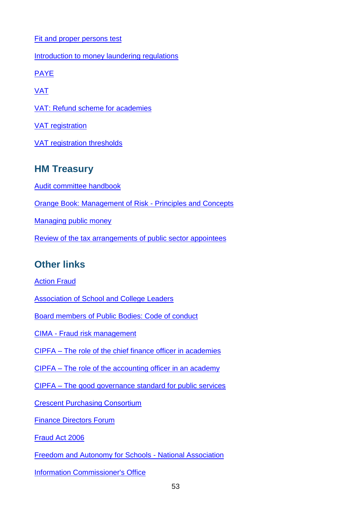[Fit and proper persons test](https://www.gov.uk/government/publications/charities-fit-and-proper-persons-test/guidance-on-the-fit-and-proper-persons-test)

[Introduction to money laundering regulations](http://www.hmrc.gov.uk/mlr/getstarted/intro.htm)

**[PAYE](http://www.hmrc.gov.uk/employers/index.shtml)** 

[VAT](http://www.hmrc.gov.uk/vat/start/register/)

[VAT: Refund scheme for academies](http://webarchive.nationalarchives.gov.uk/20130127134657/http:/customs.hmrc.gov.uk/channelsPortalWebApp/channelsPortalWebApp.portal?_nfpb=true&_pageLabel=pageLibrary_PublicNoticesAndInfoSheets&propertyType=document&columns=1&id=HMCE_PROD1_031401)

[VAT registration](http://www.hmrc.gov.uk/vat/start/register/waiting.htm)

[VAT registration thresholds](http://www.hmrc.gov.uk/vat/forms-rates/rates/rates-thresholds.htm)

### **HM Treasury**

[Audit committee handbook](https://www.gov.uk/government/publications/audit-committee-handbook)

[Orange Book: Management of Risk -](https://www.gov.uk/government/publications/orange-book) Principles and Concepts

[Managing public money](https://www.gov.uk/government/publications/managing-public-money)

[Review of the tax arrangements of public sector appointees](https://www.gov.uk/government/publications/review-of-the-tax-arrangements-of-public-sector-appointees)

### **Other links**

[Action Fraud](http://www.actionfraud.police.uk/charities)

[Association of School and College Leaders](http://www.ascl.org.uk/)

[Board members of Public Bodies: Code of conduct](https://www.gov.uk/government/publications/board-members-of-public-bodies-code-of-conduct)

CIMA - [Fraud risk management](http://www.cimaglobal.com/Documents/ImportedDocuments/cid_techguide_fraud_risk_management_feb09.pdf.pdf)

CIPFA – [The role of the chief finance officer in academies](http://www.cipfa.org/policy-and-guidance/technical-panels-and-boards/academies-colleges-and-universities-panel)

CIPFA – [The role of the accounting officer in an academy](http://www.cipfa.org/policy-and-guidance/technical-panels-and-boards/academies-colleges-and-universities-panel)

CIPFA – [The good governance standard for public services](http://www.cipfa.org/policy-and-guidance/reports/good-governance-standard-for-public-services)

[Crescent Purchasing Consortium](http://www.thecpc.ac.uk/)

[Finance Directors Forum](http://www.thefdforum.co.uk/)

[Fraud Act 2006](http://www.legislation.gov.uk/ukpga/2006/35/contents)

[Freedom and Autonomy for Schools -](http://www.fasna.org.uk/home) National Association

[Information Commissioner's Office](https://ico.org.uk/)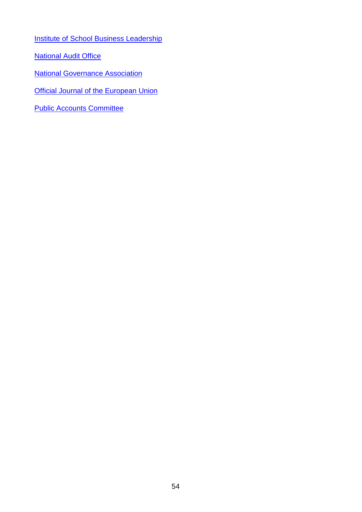**[Institute of School Business Leadership](https://isbl.org.uk/)** 

**[National Audit Office](http://www.nao.org.uk/about_us.aspx)** 

[National Governance](http://www.nga.org.uk/Home.aspx) Association

**[Official Journal of the European Union](http://www.ojec.com/Threshholds.aspx)** 

[Public Accounts Committee](http://www.parliament.uk/business/committees/committees-a-z/commons-select/public-accounts-committee/role)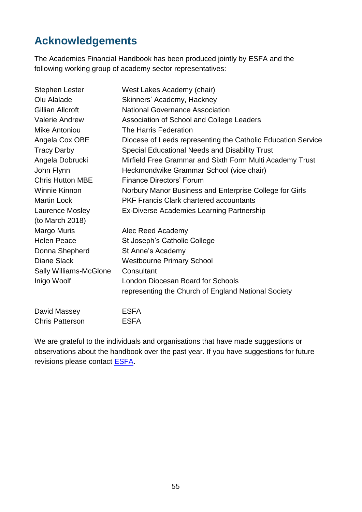# <span id="page-54-0"></span>**Acknowledgements**

The Academies Financial Handbook has been produced jointly by ESFA and the following working group of academy sector representatives:

| <b>Stephen Lester</b>         | West Lakes Academy (chair)                                   |
|-------------------------------|--------------------------------------------------------------|
| Olu Alalade                   | Skinners' Academy, Hackney                                   |
| Gillian Allcroft              | <b>National Governance Association</b>                       |
| <b>Valerie Andrew</b>         | Association of School and College Leaders                    |
| Mike Antoniou                 | The Harris Federation                                        |
| Angela Cox OBE                | Diocese of Leeds representing the Catholic Education Service |
| <b>Tracy Darby</b>            | Special Educational Needs and Disability Trust               |
| Angela Dobrucki               | Mirfield Free Grammar and Sixth Form Multi Academy Trust     |
| John Flynn                    | Heckmondwike Grammar School (vice chair)                     |
| <b>Chris Hutton MBE</b>       | <b>Finance Directors' Forum</b>                              |
| <b>Winnie Kinnon</b>          | Norbury Manor Business and Enterprise College for Girls      |
| <b>Martin Lock</b>            | <b>PKF Francis Clark chartered accountants</b>               |
| Laurence Mosley               | Ex-Diverse Academies Learning Partnership                    |
| (to March 2018)               |                                                              |
| Margo Muris                   | Alec Reed Academy                                            |
| <b>Helen Peace</b>            | St Joseph's Catholic College                                 |
| Donna Shepherd                | St Anne's Academy                                            |
| <b>Diane Slack</b>            | <b>Westbourne Primary School</b>                             |
| <b>Sally Williams-McGlone</b> | Consultant                                                   |
| Inigo Woolf                   | London Diocesan Board for Schools                            |
|                               | representing the Church of England National Society          |
| David Massey                  | <b>ESFA</b>                                                  |
| <b>Chris Patterson</b>        | <b>ESFA</b>                                                  |

We are grateful to the individuals and organisations that have made suggestions or observations about the handbook over the past year. If you have suggestions for future revisions please contact **ESFA**.